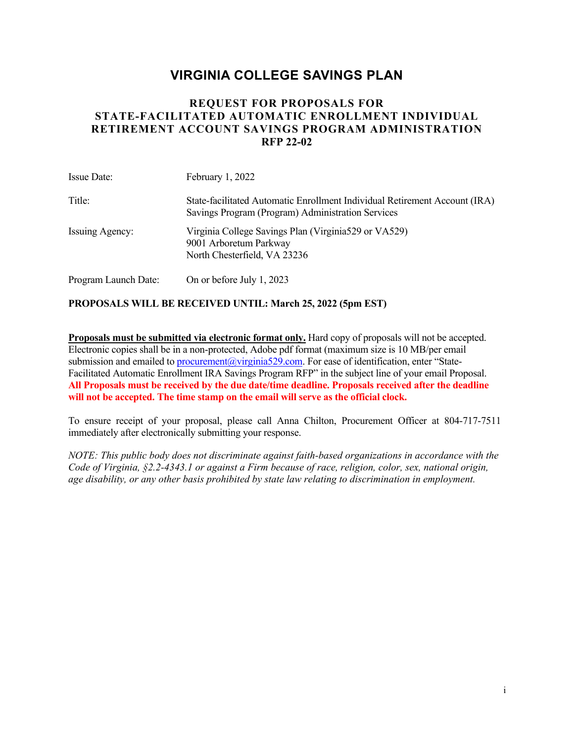# **VIRGINIA COLLEGE SAVINGS PLAN**

# **REQUEST FOR PROPOSALS FOR STATE-FACILITATED AUTOMATIC ENROLLMENT INDIVIDUAL RETIREMENT ACCOUNT SAVINGS PROGRAM ADMINISTRATION RFP 22-02**

| <b>Issue Date:</b>   | February $1,2022$                                                                                                               |
|----------------------|---------------------------------------------------------------------------------------------------------------------------------|
| Title:               | State-facilitated Automatic Enrollment Individual Retirement Account (IRA)<br>Savings Program (Program) Administration Services |
| Issuing Agency:      | Virginia College Savings Plan (Virginia 529 or VA529)<br>9001 Arboretum Parkway<br>North Chesterfield, VA 23236                 |
| Program Launch Date: | On or before July 1, 2023                                                                                                       |

### **PROPOSALS WILL BE RECEIVED UNTIL: March 25, 2022 (5pm EST)**

**Proposals must be submitted via electronic format only.** Hard copy of proposals will not be accepted. Electronic copies shall be in a non-protected, Adobe pdf format (maximum size is 10 MB/per email submission and emailed to procurement@virginia529.com. For ease of identification, enter "State-Facilitated Automatic Enrollment IRA Savings Program RFP" in the subject line of your email Proposal. **All Proposals must be received by the due date/time deadline. Proposals received after the deadline will not be accepted. The time stamp on the email will serve as the official clock.**

To ensure receipt of your proposal, please call Anna Chilton, Procurement Officer at 804-717-7511 immediately after electronically submitting your response.

*NOTE: This public body does not discriminate against faith-based organizations in accordance with the Code of Virginia, §2.2-4343.1 or against a Firm because of race, religion, color, sex, national origin, age disability, or any other basis prohibited by state law relating to discrimination in employment.*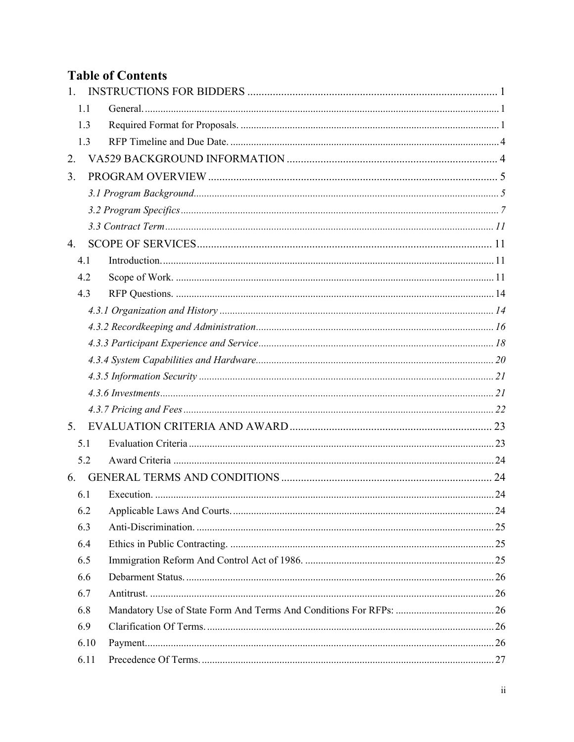# **Table of Contents**

| 1. |      |  |
|----|------|--|
|    | 1.1  |  |
|    | 1.3  |  |
|    | 1.3  |  |
| 2. |      |  |
| 3. |      |  |
|    |      |  |
|    |      |  |
|    |      |  |
| 4. |      |  |
|    | 4.1  |  |
|    | 4.2  |  |
|    | 4.3  |  |
|    |      |  |
|    |      |  |
|    |      |  |
|    |      |  |
|    |      |  |
|    |      |  |
|    |      |  |
| 5. |      |  |
|    | 5.1  |  |
|    | 5.2  |  |
| 6. |      |  |
|    | 6.1  |  |
|    | 6.2  |  |
|    | 6.3  |  |
|    | 6.4  |  |
|    | 6.5  |  |
|    | 6.6  |  |
|    | 6.7  |  |
|    | 6.8  |  |
|    | 6.9  |  |
|    | 6.10 |  |
|    | 6.11 |  |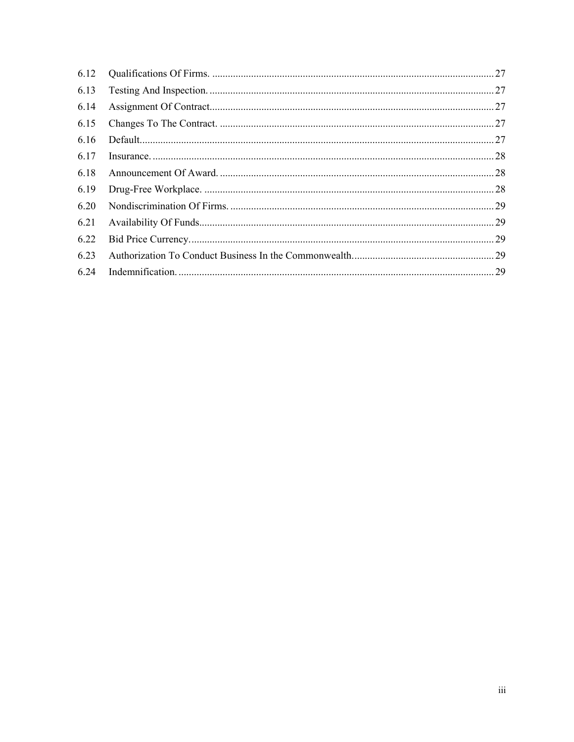| 6.12 |  |
|------|--|
| 6.13 |  |
| 6.14 |  |
| 6.15 |  |
| 6.16 |  |
| 6.17 |  |
| 6.18 |  |
| 6.19 |  |
| 6.20 |  |
| 6.21 |  |
| 6.22 |  |
| 6.23 |  |
| 6.24 |  |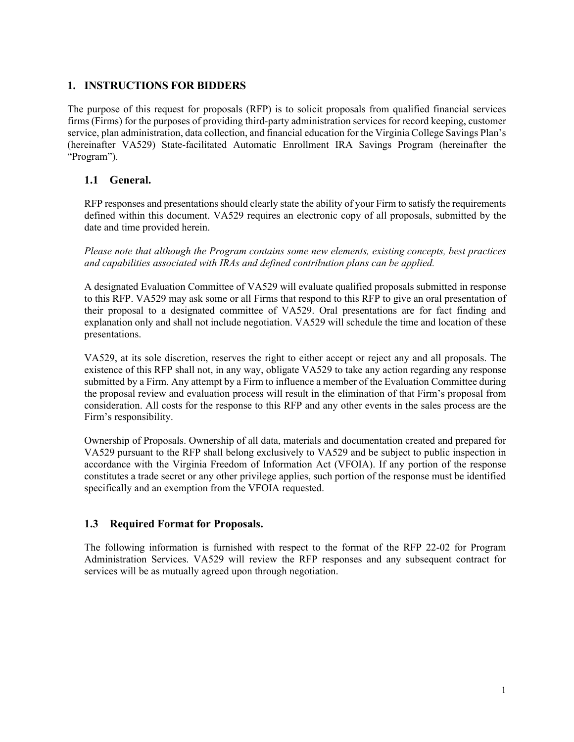### **1. INSTRUCTIONS FOR BIDDERS**

The purpose of this request for proposals (RFP) is to solicit proposals from qualified financial services firms (Firms) for the purposes of providing third-party administration services for record keeping, customer service, plan administration, data collection, and financial education for the Virginia College Savings Plan's (hereinafter VA529) State-facilitated Automatic Enrollment IRA Savings Program (hereinafter the "Program").

### **1.1 General.**

RFP responses and presentations should clearly state the ability of your Firm to satisfy the requirements defined within this document. VA529 requires an electronic copy of all proposals, submitted by the date and time provided herein.

*Please note that although the Program contains some new elements, existing concepts, best practices and capabilities associated with IRAs and defined contribution plans can be applied.* 

A designated Evaluation Committee of VA529 will evaluate qualified proposals submitted in response to this RFP. VA529 may ask some or all Firms that respond to this RFP to give an oral presentation of their proposal to a designated committee of VA529. Oral presentations are for fact finding and explanation only and shall not include negotiation. VA529 will schedule the time and location of these presentations.

VA529, at its sole discretion, reserves the right to either accept or reject any and all proposals. The existence of this RFP shall not, in any way, obligate VA529 to take any action regarding any response submitted by a Firm. Any attempt by a Firm to influence a member of the Evaluation Committee during the proposal review and evaluation process will result in the elimination of that Firm's proposal from consideration. All costs for the response to this RFP and any other events in the sales process are the Firm's responsibility.

Ownership of Proposals. Ownership of all data, materials and documentation created and prepared for VA529 pursuant to the RFP shall belong exclusively to VA529 and be subject to public inspection in accordance with the Virginia Freedom of Information Act (VFOIA). If any portion of the response constitutes a trade secret or any other privilege applies, such portion of the response must be identified specifically and an exemption from the VFOIA requested.

### **1.3 Required Format for Proposals.**

The following information is furnished with respect to the format of the RFP 22-02 for Program Administration Services. VA529 will review the RFP responses and any subsequent contract for services will be as mutually agreed upon through negotiation.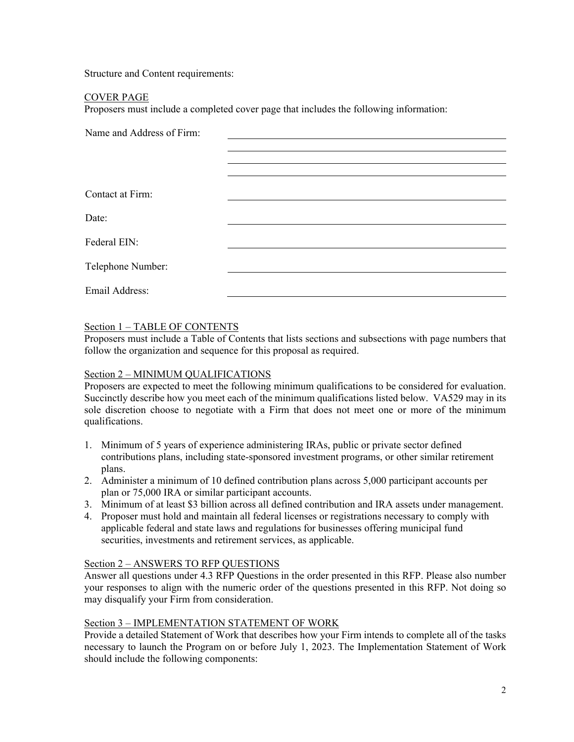Structure and Content requirements:

#### COVER PAGE

Proposers must include a completed cover page that includes the following information:

| Name and Address of Firm: |  |  |
|---------------------------|--|--|
|                           |  |  |
|                           |  |  |
|                           |  |  |
| Contact at Firm:          |  |  |
|                           |  |  |
| Date:                     |  |  |
| Federal EIN:              |  |  |
|                           |  |  |
| Telephone Number:         |  |  |
|                           |  |  |
| Email Address:            |  |  |

#### Section 1 – TABLE OF CONTENTS

Proposers must include a Table of Contents that lists sections and subsections with page numbers that follow the organization and sequence for this proposal as required.

#### Section 2 – MINIMUM QUALIFICATIONS

Proposers are expected to meet the following minimum qualifications to be considered for evaluation. Succinctly describe how you meet each of the minimum qualifications listed below. VA529 may in its sole discretion choose to negotiate with a Firm that does not meet one or more of the minimum qualifications.

- 1. Minimum of 5 years of experience administering IRAs, public or private sector defined contributions plans, including state-sponsored investment programs, or other similar retirement plans.
- 2. Administer a minimum of 10 defined contribution plans across 5,000 participant accounts per plan or 75,000 IRA or similar participant accounts.
- 3. Minimum of at least \$3 billion across all defined contribution and IRA assets under management.
- 4. Proposer must hold and maintain all federal licenses or registrations necessary to comply with applicable federal and state laws and regulations for businesses offering municipal fund securities, investments and retirement services, as applicable.

#### Section 2 – ANSWERS TO RFP QUESTIONS

Answer all questions under 4.3 RFP Questions in the order presented in this RFP. Please also number your responses to align with the numeric order of the questions presented in this RFP. Not doing so may disqualify your Firm from consideration.

#### Section 3 – IMPLEMENTATION STATEMENT OF WORK

Provide a detailed Statement of Work that describes how your Firm intends to complete all of the tasks necessary to launch the Program on or before July 1, 2023. The Implementation Statement of Work should include the following components: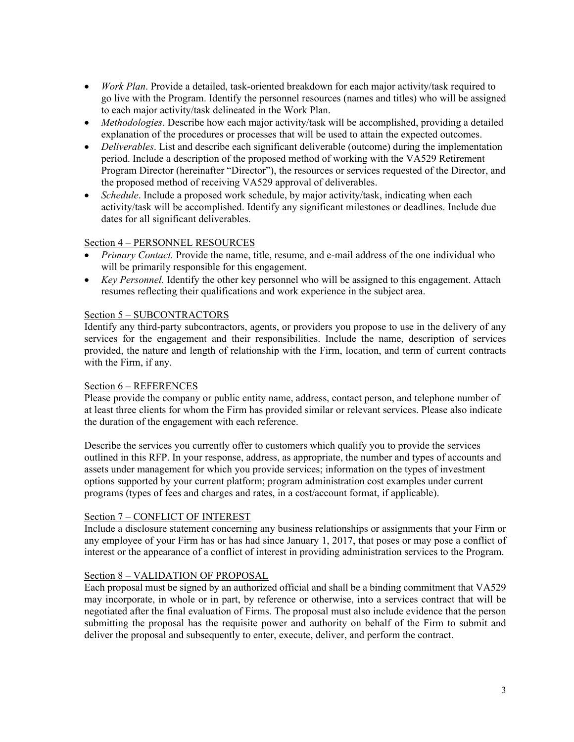- *Work Plan*. Provide a detailed, task-oriented breakdown for each major activity/task required to go live with the Program. Identify the personnel resources (names and titles) who will be assigned to each major activity/task delineated in the Work Plan.
- *Methodologies*. Describe how each major activity/task will be accomplished, providing a detailed explanation of the procedures or processes that will be used to attain the expected outcomes.
- *Deliverables*. List and describe each significant deliverable (outcome) during the implementation period. Include a description of the proposed method of working with the VA529 Retirement Program Director (hereinafter "Director"), the resources or services requested of the Director, and the proposed method of receiving VA529 approval of deliverables.
- *Schedule*. Include a proposed work schedule, by major activity/task, indicating when each activity/task will be accomplished. Identify any significant milestones or deadlines. Include due dates for all significant deliverables.

### Section 4 – PERSONNEL RESOURCES

- *Primary Contact.* Provide the name, title, resume, and e-mail address of the one individual who will be primarily responsible for this engagement.
- *Key Personnel.* Identify the other key personnel who will be assigned to this engagement. Attach resumes reflecting their qualifications and work experience in the subject area.

#### Section 5 – SUBCONTRACTORS

Identify any third-party subcontractors, agents, or providers you propose to use in the delivery of any services for the engagement and their responsibilities. Include the name, description of services provided, the nature and length of relationship with the Firm, location, and term of current contracts with the Firm, if any.

#### Section 6 – REFERENCES

Please provide the company or public entity name, address, contact person, and telephone number of at least three clients for whom the Firm has provided similar or relevant services. Please also indicate the duration of the engagement with each reference.

Describe the services you currently offer to customers which qualify you to provide the services outlined in this RFP. In your response, address, as appropriate, the number and types of accounts and assets under management for which you provide services; information on the types of investment options supported by your current platform; program administration cost examples under current programs (types of fees and charges and rates, in a cost/account format, if applicable).

#### Section 7 – CONFLICT OF INTEREST

Include a disclosure statement concerning any business relationships or assignments that your Firm or any employee of your Firm has or has had since January 1, 2017, that poses or may pose a conflict of interest or the appearance of a conflict of interest in providing administration services to the Program.

#### Section 8 – VALIDATION OF PROPOSAL

Each proposal must be signed by an authorized official and shall be a binding commitment that VA529 may incorporate, in whole or in part, by reference or otherwise, into a services contract that will be negotiated after the final evaluation of Firms. The proposal must also include evidence that the person submitting the proposal has the requisite power and authority on behalf of the Firm to submit and deliver the proposal and subsequently to enter, execute, deliver, and perform the contract.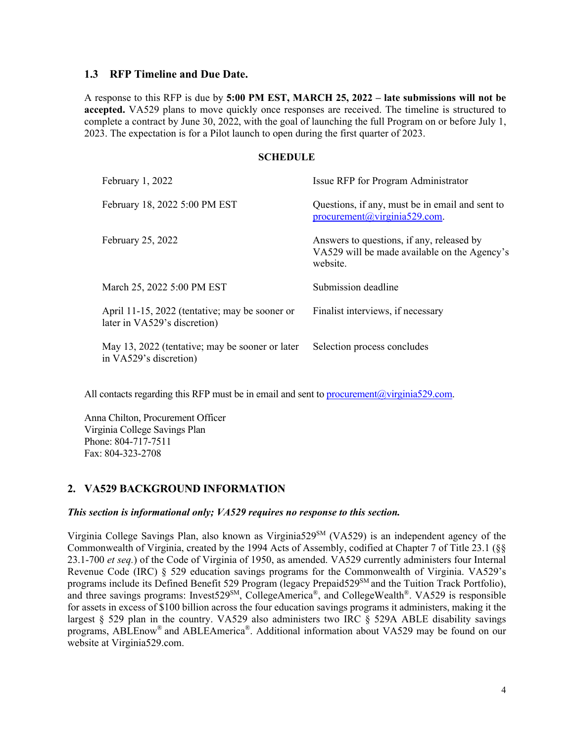#### **1.3 RFP Timeline and Due Date.**

A response to this RFP is due by **5:00 PM EST, MARCH 25, 2022 – late submissions will not be accepted.** VA529 plans to move quickly once responses are received. The timeline is structured to complete a contract by June 30, 2022, with the goal of launching the full Program on or before July 1, 2023. The expectation is for a Pilot launch to open during the first quarter of 2023.

#### **SCHEDULE**

| February 1, 2022                                                               | Issue RFP for Program Administrator                                                                   |
|--------------------------------------------------------------------------------|-------------------------------------------------------------------------------------------------------|
| February 18, 2022 5:00 PM EST                                                  | Questions, if any, must be in email and sent to<br>$procurrent(\omega) \rightarrow 529$ .com.         |
| February 25, 2022                                                              | Answers to questions, if any, released by<br>VA529 will be made available on the Agency's<br>website. |
| March 25, 2022 5:00 PM EST                                                     | Submission deadline                                                                                   |
| April 11-15, 2022 (tentative; may be sooner or<br>later in VA529's discretion) | Finalist interviews, if necessary                                                                     |
| May 13, 2022 (tentative; may be sooner or later<br>in VA529's discretion)      | Selection process concludes                                                                           |

All contacts regarding this RFP must be in email and sent to procurement  $@$  virginia529.com.

Anna Chilton, Procurement Officer Virginia College Savings Plan Phone: 804-717-7511 Fax: 804-323-2708

### **2. VA529 BACKGROUND INFORMATION**

#### *This section is informational only; VA529 requires no response to this section.*

Virginia College Savings Plan, also known as Virginia529SM (VA529) is an independent agency of the Commonwealth of Virginia, created by the 1994 Acts of Assembly, codified at Chapter 7 of Title 23.1 (§§ 23.1-700 *et seq.*) of the Code of Virginia of 1950, as amended. VA529 currently administers four Internal Revenue Code (IRC) § 529 education savings programs for the Commonwealth of Virginia. VA529's programs include its Defined Benefit 529 Program (legacy Prepaid529<sup>SM</sup> and the Tuition Track Portfolio), and three savings programs: Invest529<sup>SM</sup>, CollegeAmerica®, and CollegeWealth®. VA529 is responsible for assets in excess of \$100 billion across the four education savings programs it administers, making it the largest  $\S$  529 plan in the country. VA529 also administers two IRC  $\S$  529A ABLE disability savings programs, ABLEnow® and ABLEAmerica®. Additional information about VA529 may be found on our website at Virginia529.com.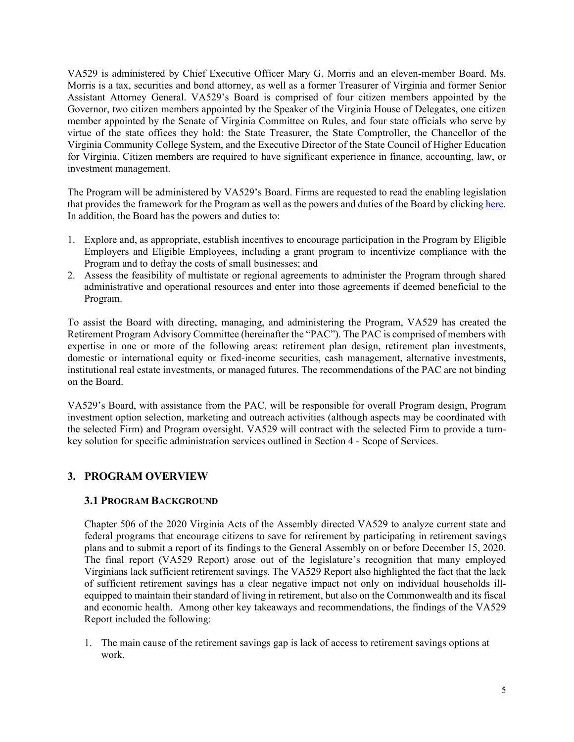VA529 is administered by Chief Executive Officer Mary G. Morris and an eleven-member Board. Ms. Morris is a tax, securities and bond attorney, as well as a former Treasurer of Virginia and former Senior Assistant Attorney General. VA529's Board is comprised of four citizen members appointed by the Governor, two citizen members appointed by the Speaker of the Virginia House of Delegates, one citizen member appointed by the Senate of Virginia Committee on Rules, and four state officials who serve by virtue of the state offices they hold: the State Treasurer, the State Comptroller, the Chancellor of the Virginia Community College System, and the Executive Director of the State Council of Higher Education for Virginia. Citizen members are required to have significant experience in finance, accounting, law, or investment management.

The Program will be administered by VA529's Board. Firms are requested to read the enabling legislation that provides the framework for the Program as well as the powers and duties of the Board by clicking here. In addition, the Board has the powers and duties to:

- 1. Explore and, as appropriate, establish incentives to encourage participation in the Program by Eligible Employers and Eligible Employees, including a grant program to incentivize compliance with the Program and to defray the costs of small businesses; and
- 2. Assess the feasibility of multistate or regional agreements to administer the Program through shared administrative and operational resources and enter into those agreements if deemed beneficial to the Program.

To assist the Board with directing, managing, and administering the Program, VA529 has created the Retirement Program Advisory Committee (hereinafter the "PAC"). The PAC is comprised of members with expertise in one or more of the following areas: retirement plan design, retirement plan investments, domestic or international equity or fixed-income securities, cash management, alternative investments, institutional real estate investments, or managed futures. The recommendations of the PAC are not binding on the Board.

VA529's Board, with assistance from the PAC, will be responsible for overall Program design, Program investment option selection, marketing and outreach activities (although aspects may be coordinated with the selected Firm) and Program oversight. VA529 will contract with the selected Firm to provide a turnkey solution for specific administration services outlined in Section 4 - Scope of Services.

# **3. PROGRAM OVERVIEW**

### **3.1 PROGRAM BACKGROUND**

Chapter 506 of the 2020 Virginia Acts of the Assembly directed VA529 to analyze current state and federal programs that encourage citizens to save for retirement by participating in retirement savings plans and to submit a report of its findings to the General Assembly on or before December 15, 2020. The final report (VA529 Report) arose out of the legislature's recognition that many employed Virginians lack sufficient retirement savings. The VA529 Report also highlighted the fact that the lack of sufficient retirement savings has a clear negative impact not only on individual households illequipped to maintain their standard of living in retirement, but also on the Commonwealth and its fiscal and economic health. Among other key takeaways and recommendations, the findings of the VA529 Report included the following:

1. The main cause of the retirement savings gap is lack of access to retirement savings options at work.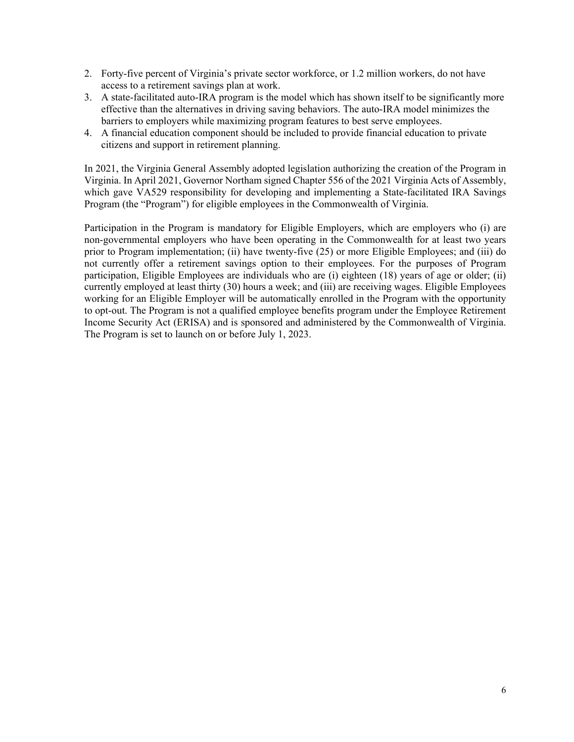- 2. Forty-five percent of Virginia's private sector workforce, or 1.2 million workers, do not have access to a retirement savings plan at work.
- 3. A state-facilitated auto-IRA program is the model which has shown itself to be significantly more effective than the alternatives in driving saving behaviors. The auto-IRA model minimizes the barriers to employers while maximizing program features to best serve employees.
- 4. A financial education component should be included to provide financial education to private citizens and support in retirement planning.

In 2021, the Virginia General Assembly adopted legislation authorizing the creation of the Program in Virginia. In April 2021, Governor Northam signed Chapter 556 of the 2021 Virginia Acts of Assembly, which gave VA529 responsibility for developing and implementing a State-facilitated IRA Savings Program (the "Program") for eligible employees in the Commonwealth of Virginia.

Participation in the Program is mandatory for Eligible Employers, which are employers who (i) are non-governmental employers who have been operating in the Commonwealth for at least two years prior to Program implementation; (ii) have twenty-five (25) or more Eligible Employees; and (iii) do not currently offer a retirement savings option to their employees. For the purposes of Program participation, Eligible Employees are individuals who are (i) eighteen (18) years of age or older; (ii) currently employed at least thirty (30) hours a week; and (iii) are receiving wages. Eligible Employees working for an Eligible Employer will be automatically enrolled in the Program with the opportunity to opt-out. The Program is not a qualified employee benefits program under the Employee Retirement Income Security Act (ERISA) and is sponsored and administered by the Commonwealth of Virginia. The Program is set to launch on or before July 1, 2023.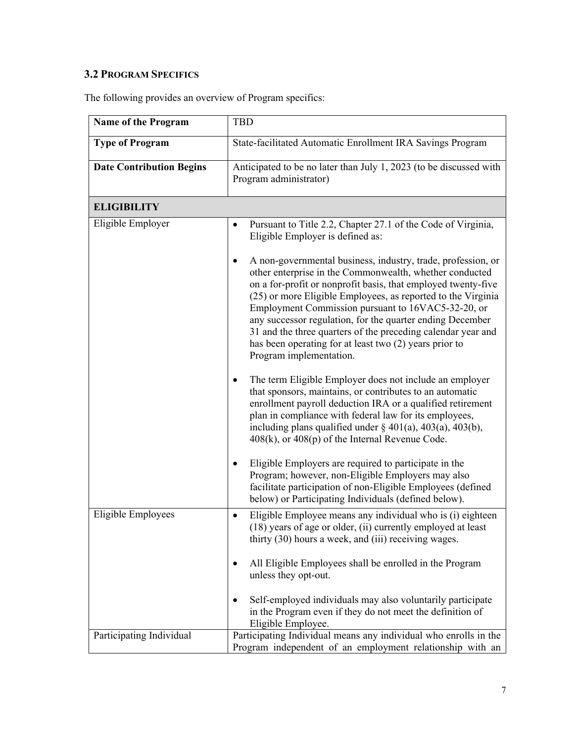# **3.2 PROGRAM SPECIFICS**

The following provides an overview of Program specifics:

| Name of the Program             | <b>TBD</b>                                                                                                                                                                                                                                                                                                                                                                                                                                                                                                                       |  |  |
|---------------------------------|----------------------------------------------------------------------------------------------------------------------------------------------------------------------------------------------------------------------------------------------------------------------------------------------------------------------------------------------------------------------------------------------------------------------------------------------------------------------------------------------------------------------------------|--|--|
| <b>Type of Program</b>          | State-facilitated Automatic Enrollment IRA Savings Program                                                                                                                                                                                                                                                                                                                                                                                                                                                                       |  |  |
| <b>Date Contribution Begins</b> | Anticipated to be no later than July 1, 2023 (to be discussed with<br>Program administrator)                                                                                                                                                                                                                                                                                                                                                                                                                                     |  |  |
| <b>ELIGIBILITY</b>              |                                                                                                                                                                                                                                                                                                                                                                                                                                                                                                                                  |  |  |
| Eligible Employer               | Pursuant to Title 2.2, Chapter 27.1 of the Code of Virginia,<br>$\bullet$<br>Eligible Employer is defined as:                                                                                                                                                                                                                                                                                                                                                                                                                    |  |  |
|                                 | A non-governmental business, industry, trade, profession, or<br>other enterprise in the Commonwealth, whether conducted<br>on a for-profit or nonprofit basis, that employed twenty-five<br>(25) or more Eligible Employees, as reported to the Virginia<br>Employment Commission pursuant to 16VAC5-32-20, or<br>any successor regulation, for the quarter ending December<br>31 and the three quarters of the preceding calendar year and<br>has been operating for at least two (2) years prior to<br>Program implementation. |  |  |
|                                 | The term Eligible Employer does not include an employer<br>٠<br>that sponsors, maintains, or contributes to an automatic<br>enrollment payroll deduction IRA or a qualified retirement<br>plan in compliance with federal law for its employees,<br>including plans qualified under $\S$ 401(a), 403(a), 403(b),<br>408(k), or 408(p) of the Internal Revenue Code.                                                                                                                                                              |  |  |
|                                 | Eligible Employers are required to participate in the<br>٠<br>Program; however, non-Eligible Employers may also<br>facilitate participation of non-Eligible Employees (defined<br>below) or Participating Individuals (defined below).                                                                                                                                                                                                                                                                                           |  |  |
| Eligible Employees              | Eligible Employee means any individual who is (i) eighteen<br>٠<br>(18) years of age or older, (ii) currently employed at least<br>thirty (30) hours a week, and (iii) receiving wages.                                                                                                                                                                                                                                                                                                                                          |  |  |
|                                 | All Eligible Employees shall be enrolled in the Program<br>٠<br>unless they opt-out.                                                                                                                                                                                                                                                                                                                                                                                                                                             |  |  |
|                                 | Self-employed individuals may also voluntarily participate<br>in the Program even if they do not meet the definition of<br>Eligible Employee.                                                                                                                                                                                                                                                                                                                                                                                    |  |  |
| Participating Individual        | Participating Individual means any individual who enrolls in the<br>Program independent of an employment relationship with an                                                                                                                                                                                                                                                                                                                                                                                                    |  |  |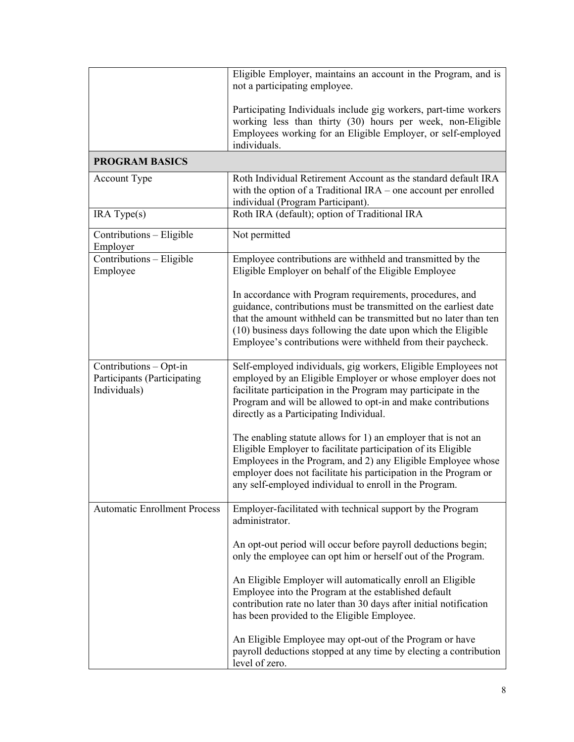|                                                                       | Eligible Employer, maintains an account in the Program, and is<br>not a participating employee.                                                                                                                                                                                                                                   |  |  |
|-----------------------------------------------------------------------|-----------------------------------------------------------------------------------------------------------------------------------------------------------------------------------------------------------------------------------------------------------------------------------------------------------------------------------|--|--|
|                                                                       | Participating Individuals include gig workers, part-time workers<br>working less than thirty (30) hours per week, non-Eligible<br>Employees working for an Eligible Employer, or self-employed<br>individuals.                                                                                                                    |  |  |
| <b>PROGRAM BASICS</b>                                                 |                                                                                                                                                                                                                                                                                                                                   |  |  |
| Account Type                                                          | Roth Individual Retirement Account as the standard default IRA<br>with the option of a Traditional $IRA$ – one account per enrolled<br>individual (Program Participant).                                                                                                                                                          |  |  |
| IRA Type(s)                                                           | Roth IRA (default); option of Traditional IRA                                                                                                                                                                                                                                                                                     |  |  |
| Contributions - Eligible<br>Employer                                  | Not permitted                                                                                                                                                                                                                                                                                                                     |  |  |
| Contributions - Eligible<br>Employee                                  | Employee contributions are withheld and transmitted by the<br>Eligible Employer on behalf of the Eligible Employee                                                                                                                                                                                                                |  |  |
|                                                                       | In accordance with Program requirements, procedures, and<br>guidance, contributions must be transmitted on the earliest date<br>that the amount withheld can be transmitted but no later than ten<br>(10) business days following the date upon which the Eligible<br>Employee's contributions were withheld from their paycheck. |  |  |
| Contributions - Opt-in<br>Participants (Participating<br>Individuals) | Self-employed individuals, gig workers, Eligible Employees not<br>employed by an Eligible Employer or whose employer does not<br>facilitate participation in the Program may participate in the<br>Program and will be allowed to opt-in and make contributions<br>directly as a Participating Individual.                        |  |  |
|                                                                       | The enabling statute allows for 1) an employer that is not an<br>Eligible Employer to facilitate participation of its Eligible<br>Employees in the Program, and 2) any Eligible Employee whose<br>employer does not facilitate his participation in the Program or<br>any self-employed individual to enroll in the Program.      |  |  |
| <b>Automatic Enrollment Process</b>                                   | Employer-facilitated with technical support by the Program<br>administrator.                                                                                                                                                                                                                                                      |  |  |
|                                                                       | An opt-out period will occur before payroll deductions begin;<br>only the employee can opt him or herself out of the Program.                                                                                                                                                                                                     |  |  |
|                                                                       | An Eligible Employer will automatically enroll an Eligible<br>Employee into the Program at the established default<br>contribution rate no later than 30 days after initial notification<br>has been provided to the Eligible Employee.                                                                                           |  |  |
|                                                                       | An Eligible Employee may opt-out of the Program or have<br>payroll deductions stopped at any time by electing a contribution<br>level of zero.                                                                                                                                                                                    |  |  |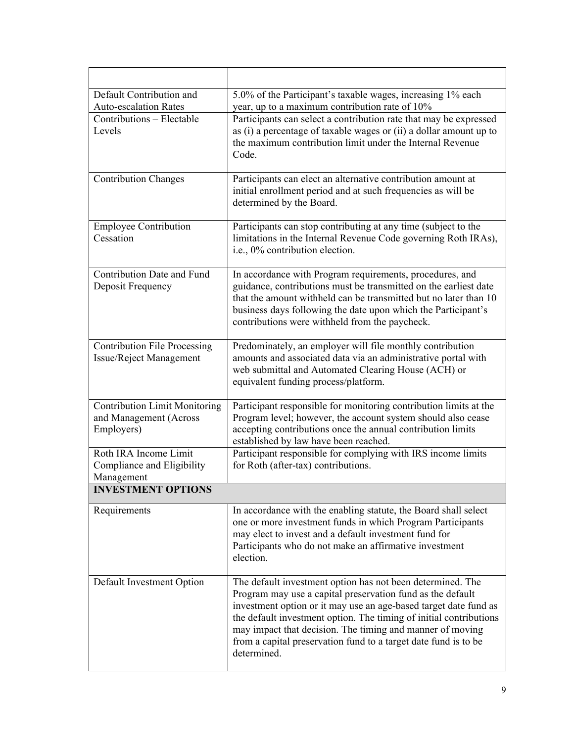| Default Contribution and<br><b>Auto-escalation Rates</b>                     | 5.0% of the Participant's taxable wages, increasing 1% each<br>year, up to a maximum contribution rate of 10%                                                                                                                                                                                                                                                                                                     |
|------------------------------------------------------------------------------|-------------------------------------------------------------------------------------------------------------------------------------------------------------------------------------------------------------------------------------------------------------------------------------------------------------------------------------------------------------------------------------------------------------------|
| Contributions - Electable<br>Levels                                          | Participants can select a contribution rate that may be expressed<br>as (i) a percentage of taxable wages or (ii) a dollar amount up to<br>the maximum contribution limit under the Internal Revenue<br>Code.                                                                                                                                                                                                     |
| <b>Contribution Changes</b>                                                  | Participants can elect an alternative contribution amount at<br>initial enrollment period and at such frequencies as will be<br>determined by the Board.                                                                                                                                                                                                                                                          |
| <b>Employee Contribution</b><br>Cessation                                    | Participants can stop contributing at any time (subject to the<br>limitations in the Internal Revenue Code governing Roth IRAs),<br>i.e., 0% contribution election.                                                                                                                                                                                                                                               |
| <b>Contribution Date and Fund</b><br>Deposit Frequency                       | In accordance with Program requirements, procedures, and<br>guidance, contributions must be transmitted on the earliest date<br>that the amount withheld can be transmitted but no later than 10<br>business days following the date upon which the Participant's<br>contributions were withheld from the paycheck.                                                                                               |
| <b>Contribution File Processing</b><br>Issue/Reject Management               | Predominately, an employer will file monthly contribution<br>amounts and associated data via an administrative portal with<br>web submittal and Automated Clearing House (ACH) or<br>equivalent funding process/platform.                                                                                                                                                                                         |
| <b>Contribution Limit Monitoring</b><br>and Management (Across<br>Employers) | Participant responsible for monitoring contribution limits at the<br>Program level; however, the account system should also cease<br>accepting contributions once the annual contribution limits<br>established by law have been reached.                                                                                                                                                                         |
| Roth IRA Income Limit<br>Compliance and Eligibility<br>Management            | Participant responsible for complying with IRS income limits<br>for Roth (after-tax) contributions.                                                                                                                                                                                                                                                                                                               |
| <b>INVESTMENT OPTIONS</b>                                                    |                                                                                                                                                                                                                                                                                                                                                                                                                   |
| Requirements                                                                 | In accordance with the enabling statute, the Board shall select<br>one or more investment funds in which Program Participants<br>may elect to invest and a default investment fund for<br>Participants who do not make an affirmative investment<br>election.                                                                                                                                                     |
| Default Investment Option                                                    | The default investment option has not been determined. The<br>Program may use a capital preservation fund as the default<br>investment option or it may use an age-based target date fund as<br>the default investment option. The timing of initial contributions<br>may impact that decision. The timing and manner of moving<br>from a capital preservation fund to a target date fund is to be<br>determined. |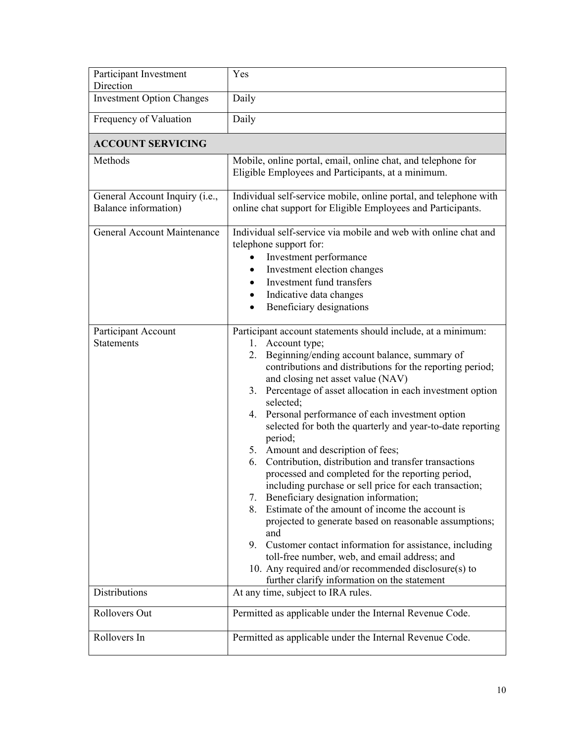| Participant Investment<br>Direction                    | Yes                                                                                                                                                                                                                                                                                                                                                                                                                                                                                                                                                                                                                                                                                                                                                                                                                                                                                                                                                                                                                                                                 |
|--------------------------------------------------------|---------------------------------------------------------------------------------------------------------------------------------------------------------------------------------------------------------------------------------------------------------------------------------------------------------------------------------------------------------------------------------------------------------------------------------------------------------------------------------------------------------------------------------------------------------------------------------------------------------------------------------------------------------------------------------------------------------------------------------------------------------------------------------------------------------------------------------------------------------------------------------------------------------------------------------------------------------------------------------------------------------------------------------------------------------------------|
| <b>Investment Option Changes</b>                       | Daily                                                                                                                                                                                                                                                                                                                                                                                                                                                                                                                                                                                                                                                                                                                                                                                                                                                                                                                                                                                                                                                               |
| Frequency of Valuation                                 | Daily                                                                                                                                                                                                                                                                                                                                                                                                                                                                                                                                                                                                                                                                                                                                                                                                                                                                                                                                                                                                                                                               |
| <b>ACCOUNT SERVICING</b>                               |                                                                                                                                                                                                                                                                                                                                                                                                                                                                                                                                                                                                                                                                                                                                                                                                                                                                                                                                                                                                                                                                     |
| Methods                                                | Mobile, online portal, email, online chat, and telephone for<br>Eligible Employees and Participants, at a minimum.                                                                                                                                                                                                                                                                                                                                                                                                                                                                                                                                                                                                                                                                                                                                                                                                                                                                                                                                                  |
| General Account Inquiry (i.e.,<br>Balance information) | Individual self-service mobile, online portal, and telephone with<br>online chat support for Eligible Employees and Participants.                                                                                                                                                                                                                                                                                                                                                                                                                                                                                                                                                                                                                                                                                                                                                                                                                                                                                                                                   |
| General Account Maintenance                            | Individual self-service via mobile and web with online chat and<br>telephone support for:<br>Investment performance<br>Investment election changes<br>٠<br>Investment fund transfers<br>$\bullet$<br>Indicative data changes<br>$\bullet$<br>Beneficiary designations                                                                                                                                                                                                                                                                                                                                                                                                                                                                                                                                                                                                                                                                                                                                                                                               |
| Participant Account<br><b>Statements</b>               | Participant account statements should include, at a minimum:<br>1. Account type;<br>2. Beginning/ending account balance, summary of<br>contributions and distributions for the reporting period;<br>and closing net asset value (NAV)<br>3. Percentage of asset allocation in each investment option<br>selected;<br>4. Personal performance of each investment option<br>selected for both the quarterly and year-to-date reporting<br>period;<br>5. Amount and description of fees;<br>Contribution, distribution and transfer transactions<br>6.<br>processed and completed for the reporting period,<br>including purchase or sell price for each transaction;<br>Beneficiary designation information;<br>7.<br>Estimate of the amount of income the account is<br>8.<br>projected to generate based on reasonable assumptions;<br>and<br>Customer contact information for assistance, including<br>9.<br>toll-free number, web, and email address; and<br>10. Any required and/or recommended disclosure(s) to<br>further clarify information on the statement |
| <b>Distributions</b>                                   | At any time, subject to IRA rules.                                                                                                                                                                                                                                                                                                                                                                                                                                                                                                                                                                                                                                                                                                                                                                                                                                                                                                                                                                                                                                  |
| Rollovers Out                                          | Permitted as applicable under the Internal Revenue Code.                                                                                                                                                                                                                                                                                                                                                                                                                                                                                                                                                                                                                                                                                                                                                                                                                                                                                                                                                                                                            |
| Rollovers In                                           | Permitted as applicable under the Internal Revenue Code.                                                                                                                                                                                                                                                                                                                                                                                                                                                                                                                                                                                                                                                                                                                                                                                                                                                                                                                                                                                                            |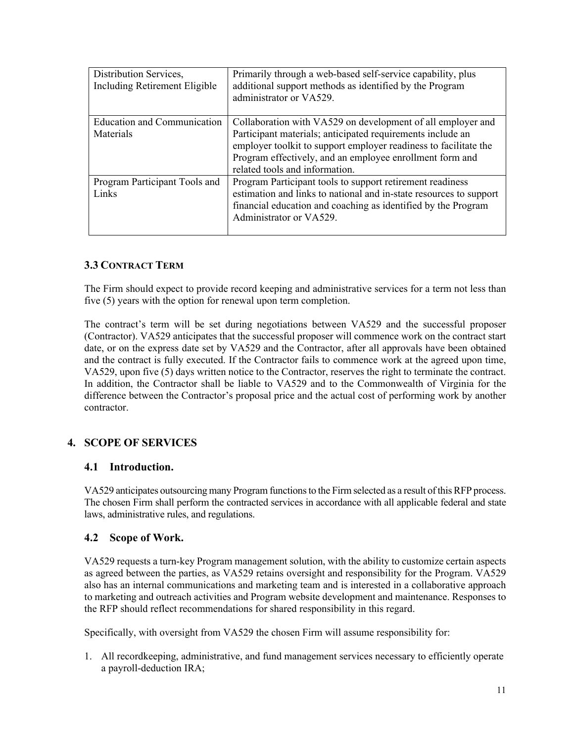| Distribution Services,<br>Including Retirement Eligible | Primarily through a web-based self-service capability, plus<br>additional support methods as identified by the Program<br>administrator or VA529. |  |
|---------------------------------------------------------|---------------------------------------------------------------------------------------------------------------------------------------------------|--|
| <b>Education and Communication</b>                      | Collaboration with VA529 on development of all employer and                                                                                       |  |
| Materials                                               | Participant materials; anticipated requirements include an                                                                                        |  |
|                                                         | employer toolkit to support employer readiness to facilitate the                                                                                  |  |
|                                                         | Program effectively, and an employee enrollment form and                                                                                          |  |
|                                                         | related tools and information.                                                                                                                    |  |
| Program Participant Tools and                           | Program Participant tools to support retirement readiness                                                                                         |  |
| Links                                                   | estimation and links to national and in-state resources to support                                                                                |  |
|                                                         | financial education and coaching as identified by the Program                                                                                     |  |
|                                                         | Administrator or VA529.                                                                                                                           |  |
|                                                         |                                                                                                                                                   |  |

# **3.3 CONTRACT TERM**

The Firm should expect to provide record keeping and administrative services for a term not less than five (5) years with the option for renewal upon term completion.

The contract's term will be set during negotiations between VA529 and the successful proposer (Contractor). VA529 anticipates that the successful proposer will commence work on the contract start date, or on the express date set by VA529 and the Contractor, after all approvals have been obtained and the contract is fully executed. If the Contractor fails to commence work at the agreed upon time, VA529, upon five (5) days written notice to the Contractor, reserves the right to terminate the contract. In addition, the Contractor shall be liable to VA529 and to the Commonwealth of Virginia for the difference between the Contractor's proposal price and the actual cost of performing work by another contractor.

# **4. SCOPE OF SERVICES**

### **4.1 Introduction.**

VA529 anticipates outsourcing many Program functions to the Firm selected as a result of this RFP process. The chosen Firm shall perform the contracted services in accordance with all applicable federal and state laws, administrative rules, and regulations.

### **4.2 Scope of Work.**

VA529 requests a turn-key Program management solution, with the ability to customize certain aspects as agreed between the parties, as VA529 retains oversight and responsibility for the Program. VA529 also has an internal communications and marketing team and is interested in a collaborative approach to marketing and outreach activities and Program website development and maintenance. Responses to the RFP should reflect recommendations for shared responsibility in this regard.

Specifically, with oversight from VA529 the chosen Firm will assume responsibility for:

1. All recordkeeping, administrative, and fund management services necessary to efficiently operate a payroll-deduction IRA;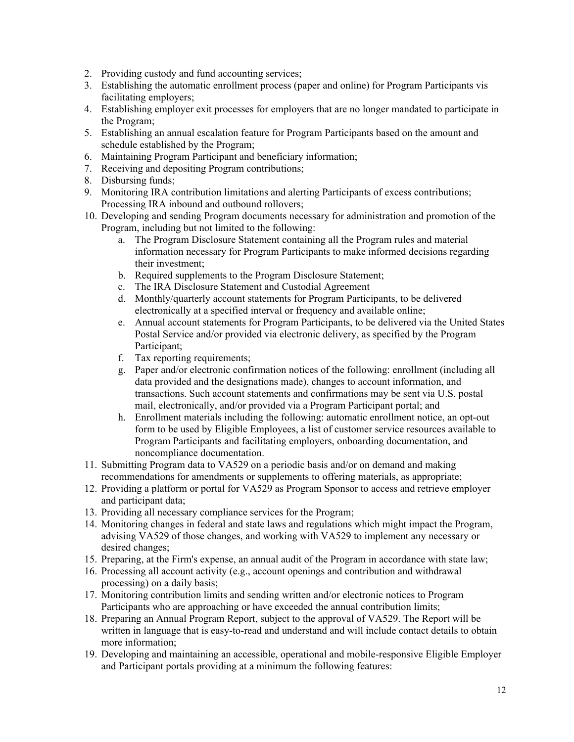- 2. Providing custody and fund accounting services;
- 3. Establishing the automatic enrollment process (paper and online) for Program Participants vis facilitating employers;
- 4. Establishing employer exit processes for employers that are no longer mandated to participate in the Program;
- 5. Establishing an annual escalation feature for Program Participants based on the amount and schedule established by the Program;
- 6. Maintaining Program Participant and beneficiary information;
- 7. Receiving and depositing Program contributions;
- 8. Disbursing funds;
- 9. Monitoring IRA contribution limitations and alerting Participants of excess contributions; Processing IRA inbound and outbound rollovers;
- 10. Developing and sending Program documents necessary for administration and promotion of the Program, including but not limited to the following:
	- a. The Program Disclosure Statement containing all the Program rules and material information necessary for Program Participants to make informed decisions regarding their investment;
	- b. Required supplements to the Program Disclosure Statement;
	- c. The IRA Disclosure Statement and Custodial Agreement
	- d. Monthly/quarterly account statements for Program Participants, to be delivered electronically at a specified interval or frequency and available online;
	- e. Annual account statements for Program Participants, to be delivered via the United States Postal Service and/or provided via electronic delivery, as specified by the Program Participant;
	- f. Tax reporting requirements;
	- g. Paper and/or electronic confirmation notices of the following: enrollment (including all data provided and the designations made), changes to account information, and transactions. Such account statements and confirmations may be sent via U.S. postal mail, electronically, and/or provided via a Program Participant portal; and
	- h. Enrollment materials including the following: automatic enrollment notice, an opt-out form to be used by Eligible Employees, a list of customer service resources available to Program Participants and facilitating employers, onboarding documentation, and noncompliance documentation.
- 11. Submitting Program data to VA529 on a periodic basis and/or on demand and making recommendations for amendments or supplements to offering materials, as appropriate;
- 12. Providing a platform or portal for VA529 as Program Sponsor to access and retrieve employer and participant data;
- 13. Providing all necessary compliance services for the Program;
- 14. Monitoring changes in federal and state laws and regulations which might impact the Program, advising VA529 of those changes, and working with VA529 to implement any necessary or desired changes;
- 15. Preparing, at the Firm's expense, an annual audit of the Program in accordance with state law;
- 16. Processing all account activity (e.g., account openings and contribution and withdrawal processing) on a daily basis;
- 17. Monitoring contribution limits and sending written and/or electronic notices to Program Participants who are approaching or have exceeded the annual contribution limits;
- 18. Preparing an Annual Program Report, subject to the approval of VA529. The Report will be written in language that is easy-to-read and understand and will include contact details to obtain more information;
- 19. Developing and maintaining an accessible, operational and mobile-responsive Eligible Employer and Participant portals providing at a minimum the following features: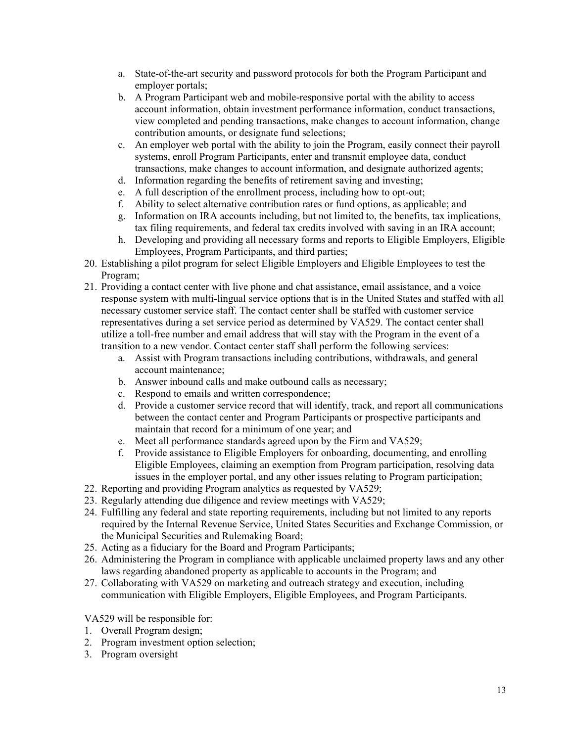- a. State-of-the-art security and password protocols for both the Program Participant and employer portals;
- b. A Program Participant web and mobile-responsive portal with the ability to access account information, obtain investment performance information, conduct transactions, view completed and pending transactions, make changes to account information, change contribution amounts, or designate fund selections;
- c. An employer web portal with the ability to join the Program, easily connect their payroll systems, enroll Program Participants, enter and transmit employee data, conduct transactions, make changes to account information, and designate authorized agents;
- d. Information regarding the benefits of retirement saving and investing;
- e. A full description of the enrollment process, including how to opt-out;
- f. Ability to select alternative contribution rates or fund options, as applicable; and
- g. Information on IRA accounts including, but not limited to, the benefits, tax implications, tax filing requirements, and federal tax credits involved with saving in an IRA account;
- h. Developing and providing all necessary forms and reports to Eligible Employers, Eligible Employees, Program Participants, and third parties;
- 20. Establishing a pilot program for select Eligible Employers and Eligible Employees to test the Program;
- 21. Providing a contact center with live phone and chat assistance, email assistance, and a voice response system with multi-lingual service options that is in the United States and staffed with all necessary customer service staff. The contact center shall be staffed with customer service representatives during a set service period as determined by VA529. The contact center shall utilize a toll-free number and email address that will stay with the Program in the event of a transition to a new vendor. Contact center staff shall perform the following services:
	- a. Assist with Program transactions including contributions, withdrawals, and general account maintenance;
	- b. Answer inbound calls and make outbound calls as necessary;
	- c. Respond to emails and written correspondence;
	- d. Provide a customer service record that will identify, track, and report all communications between the contact center and Program Participants or prospective participants and maintain that record for a minimum of one year; and
	- e. Meet all performance standards agreed upon by the Firm and VA529;
	- f. Provide assistance to Eligible Employers for onboarding, documenting, and enrolling Eligible Employees, claiming an exemption from Program participation, resolving data issues in the employer portal, and any other issues relating to Program participation;
- 22. Reporting and providing Program analytics as requested by VA529;
- 23. Regularly attending due diligence and review meetings with VA529;
- 24. Fulfilling any federal and state reporting requirements, including but not limited to any reports required by the Internal Revenue Service, United States Securities and Exchange Commission, or the Municipal Securities and Rulemaking Board;
- 25. Acting as a fiduciary for the Board and Program Participants;
- 26. Administering the Program in compliance with applicable unclaimed property laws and any other laws regarding abandoned property as applicable to accounts in the Program; and
- 27. Collaborating with VA529 on marketing and outreach strategy and execution, including communication with Eligible Employers, Eligible Employees, and Program Participants.

VA529 will be responsible for:

- 1. Overall Program design;
- 2. Program investment option selection;
- 3. Program oversight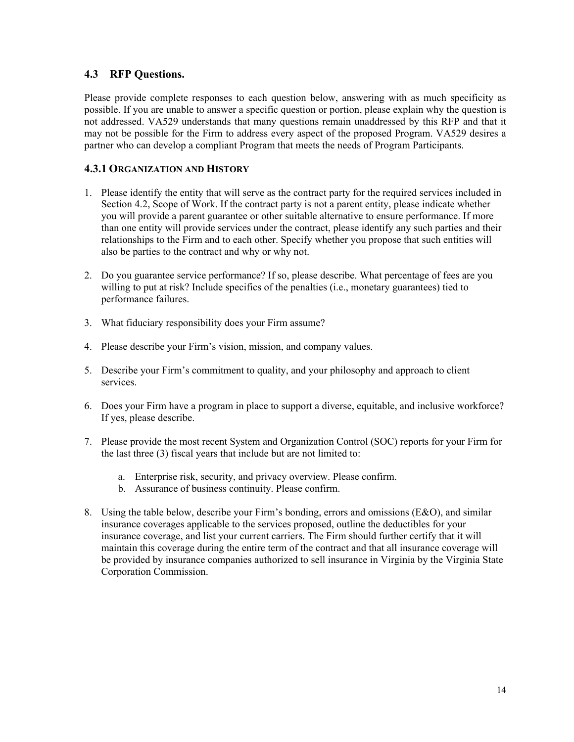### **4.3 RFP Questions.**

Please provide complete responses to each question below, answering with as much specificity as possible. If you are unable to answer a specific question or portion, please explain why the question is not addressed. VA529 understands that many questions remain unaddressed by this RFP and that it may not be possible for the Firm to address every aspect of the proposed Program. VA529 desires a partner who can develop a compliant Program that meets the needs of Program Participants.

### **4.3.1 ORGANIZATION AND HISTORY**

- 1. Please identify the entity that will serve as the contract party for the required services included in Section 4.2, Scope of Work. If the contract party is not a parent entity, please indicate whether you will provide a parent guarantee or other suitable alternative to ensure performance. If more than one entity will provide services under the contract, please identify any such parties and their relationships to the Firm and to each other. Specify whether you propose that such entities will also be parties to the contract and why or why not.
- 2. Do you guarantee service performance? If so, please describe. What percentage of fees are you willing to put at risk? Include specifics of the penalties (i.e., monetary guarantees) tied to performance failures.
- 3. What fiduciary responsibility does your Firm assume?
- 4. Please describe your Firm's vision, mission, and company values.
- 5. Describe your Firm's commitment to quality, and your philosophy and approach to client services.
- 6. Does your Firm have a program in place to support a diverse, equitable, and inclusive workforce? If yes, please describe.
- 7. Please provide the most recent System and Organization Control (SOC) reports for your Firm for the last three (3) fiscal years that include but are not limited to:
	- a. Enterprise risk, security, and privacy overview. Please confirm.
	- b. Assurance of business continuity. Please confirm.
- 8. Using the table below, describe your Firm's bonding, errors and omissions (E&O), and similar insurance coverages applicable to the services proposed, outline the deductibles for your insurance coverage, and list your current carriers. The Firm should further certify that it will maintain this coverage during the entire term of the contract and that all insurance coverage will be provided by insurance companies authorized to sell insurance in Virginia by the Virginia State Corporation Commission.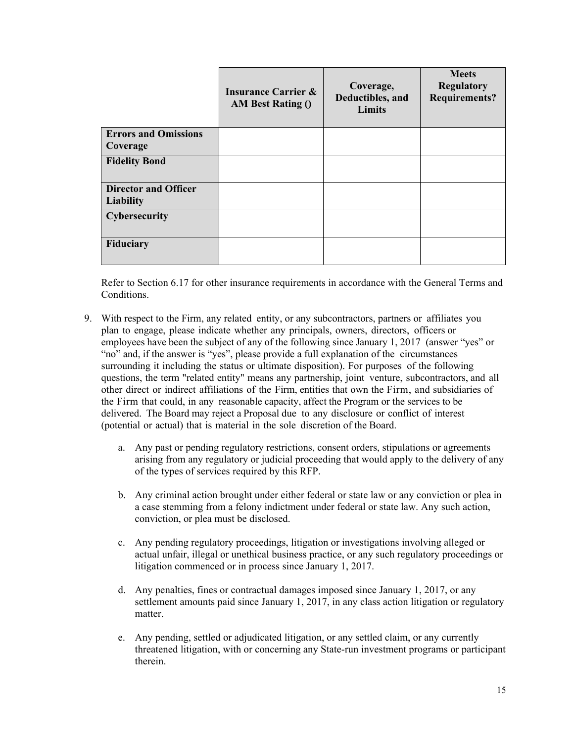|                                                 | <b>Insurance Carrier &amp;</b><br><b>AM Best Rating ()</b> | Coverage,<br>Deductibles, and<br>Limits | <b>Meets</b><br><b>Regulatory</b><br><b>Requirements?</b> |
|-------------------------------------------------|------------------------------------------------------------|-----------------------------------------|-----------------------------------------------------------|
| <b>Errors and Omissions</b><br>Coverage         |                                                            |                                         |                                                           |
| <b>Fidelity Bond</b>                            |                                                            |                                         |                                                           |
| <b>Director and Officer</b><br><b>Liability</b> |                                                            |                                         |                                                           |
| <b>Cybersecurity</b>                            |                                                            |                                         |                                                           |
| Fiduciary                                       |                                                            |                                         |                                                           |

Refer to Section 6.17 for other insurance requirements in accordance with the General Terms and Conditions.

- 9. With respect to the Firm, any related entity, or any subcontractors, partners or affiliates you plan to engage, please indicate whether any principals, owners, directors, officers or employees have been the subject of any of the following since January 1, 2017 (answer "yes" or "no" and, if the answer is "yes", please provide a full explanation of the circumstances surrounding it including the status or ultimate disposition). For purposes of the following questions, the term "related entity" means any partnership, joint venture, subcontractors, and all other direct or indirect affiliations of the Firm, entities that own the Firm, and subsidiaries of the Firm that could, in any reasonable capacity, affect the Program or the services to be delivered. The Board may reject a Proposal due to any disclosure or conflict of interest (potential or actual) that is material in the sole discretion of the Board.
	- a. Any past or pending regulatory restrictions, consent orders, stipulations or agreements arising from any regulatory or judicial proceeding that would apply to the delivery of any of the types of services required by this RFP.
	- b. Any criminal action brought under either federal or state law or any conviction or plea in a case stemming from a felony indictment under federal or state law. Any such action, conviction, or plea must be disclosed.
	- c. Any pending regulatory proceedings, litigation or investigations involving alleged or actual unfair, illegal or unethical business practice, or any such regulatory proceedings or litigation commenced or in process since January 1, 2017.
	- d. Any penalties, fines or contractual damages imposed since January 1, 2017, or any settlement amounts paid since January 1, 2017, in any class action litigation or regulatory matter.
	- e. Any pending, settled or adjudicated litigation, or any settled claim, or any currently threatened litigation, with or concerning any State-run investment programs or participant therein.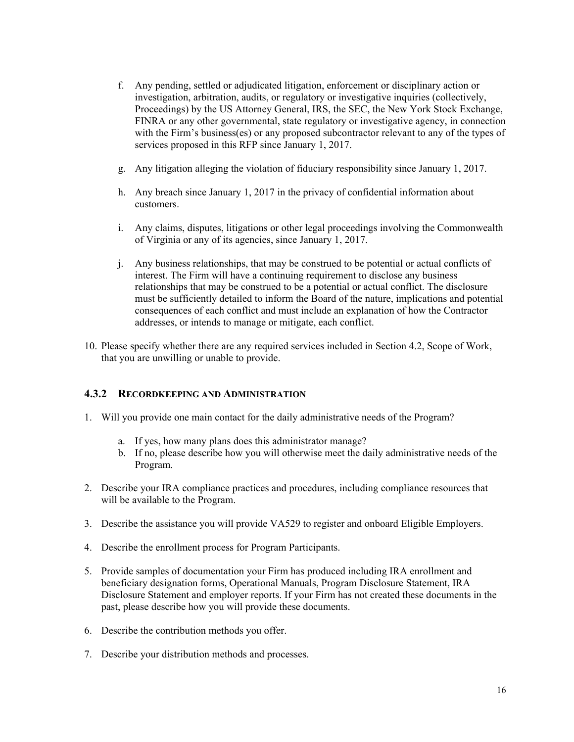- f. Any pending, settled or adjudicated litigation, enforcement or disciplinary action or investigation, arbitration, audits, or regulatory or investigative inquiries (collectively, Proceedings) by the US Attorney General, IRS, the SEC, the New York Stock Exchange, FINRA or any other governmental, state regulatory or investigative agency, in connection with the Firm's business(es) or any proposed subcontractor relevant to any of the types of services proposed in this RFP since January 1, 2017.
- g. Any litigation alleging the violation of fiduciary responsibility since January 1, 2017.
- h. Any breach since January 1, 2017 in the privacy of confidential information about customers.
- i. Any claims, disputes, litigations or other legal proceedings involving the Commonwealth of Virginia or any of its agencies, since January 1, 2017.
- j. Any business relationships, that may be construed to be potential or actual conflicts of interest. The Firm will have a continuing requirement to disclose any business relationships that may be construed to be a potential or actual conflict. The disclosure must be sufficiently detailed to inform the Board of the nature, implications and potential consequences of each conflict and must include an explanation of how the Contractor addresses, or intends to manage or mitigate, each conflict.
- 10. Please specify whether there are any required services included in Section 4.2, Scope of Work, that you are unwilling or unable to provide.

### **4.3.2 RECORDKEEPING AND ADMINISTRATION**

- 1. Will you provide one main contact for the daily administrative needs of the Program?
	- a. If yes, how many plans does this administrator manage?
	- b. If no, please describe how you will otherwise meet the daily administrative needs of the Program.
- 2. Describe your IRA compliance practices and procedures, including compliance resources that will be available to the Program.
- 3. Describe the assistance you will provide VA529 to register and onboard Eligible Employers.
- 4. Describe the enrollment process for Program Participants.
- 5. Provide samples of documentation your Firm has produced including IRA enrollment and beneficiary designation forms, Operational Manuals, Program Disclosure Statement, IRA Disclosure Statement and employer reports. If your Firm has not created these documents in the past, please describe how you will provide these documents.
- 6. Describe the contribution methods you offer.
- 7. Describe your distribution methods and processes.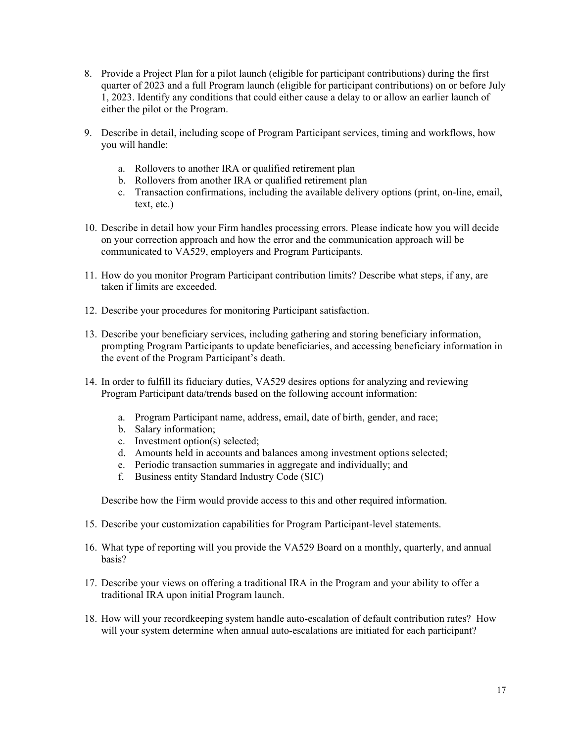- 8. Provide a Project Plan for a pilot launch (eligible for participant contributions) during the first quarter of 2023 and a full Program launch (eligible for participant contributions) on or before July 1, 2023. Identify any conditions that could either cause a delay to or allow an earlier launch of either the pilot or the Program.
- 9. Describe in detail, including scope of Program Participant services, timing and workflows, how you will handle:
	- a. Rollovers to another IRA or qualified retirement plan
	- b. Rollovers from another IRA or qualified retirement plan
	- c. Transaction confirmations, including the available delivery options (print, on-line, email, text, etc.)
- 10. Describe in detail how your Firm handles processing errors. Please indicate how you will decide on your correction approach and how the error and the communication approach will be communicated to VA529, employers and Program Participants.
- 11. How do you monitor Program Participant contribution limits? Describe what steps, if any, are taken if limits are exceeded.
- 12. Describe your procedures for monitoring Participant satisfaction.
- 13. Describe your beneficiary services, including gathering and storing beneficiary information, prompting Program Participants to update beneficiaries, and accessing beneficiary information in the event of the Program Participant's death.
- 14. In order to fulfill its fiduciary duties, VA529 desires options for analyzing and reviewing Program Participant data/trends based on the following account information:
	- a. Program Participant name, address, email, date of birth, gender, and race;
	- b. Salary information;
	- c. Investment option(s) selected;
	- d. Amounts held in accounts and balances among investment options selected;
	- e. Periodic transaction summaries in aggregate and individually; and
	- f. Business entity Standard Industry Code (SIC)

Describe how the Firm would provide access to this and other required information.

- 15. Describe your customization capabilities for Program Participant-level statements.
- 16. What type of reporting will you provide the VA529 Board on a monthly, quarterly, and annual basis?
- 17. Describe your views on offering a traditional IRA in the Program and your ability to offer a traditional IRA upon initial Program launch.
- 18. How will your recordkeeping system handle auto-escalation of default contribution rates? How will your system determine when annual auto-escalations are initiated for each participant?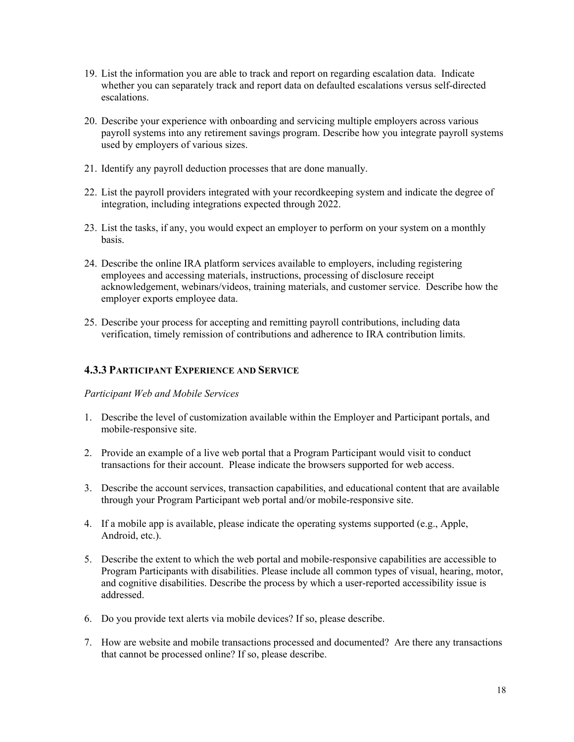- 19. List the information you are able to track and report on regarding escalation data. Indicate whether you can separately track and report data on defaulted escalations versus self-directed escalations.
- 20. Describe your experience with onboarding and servicing multiple employers across various payroll systems into any retirement savings program. Describe how you integrate payroll systems used by employers of various sizes.
- 21. Identify any payroll deduction processes that are done manually.
- 22. List the payroll providers integrated with your recordkeeping system and indicate the degree of integration, including integrations expected through 2022.
- 23. List the tasks, if any, you would expect an employer to perform on your system on a monthly basis.
- 24. Describe the online IRA platform services available to employers, including registering employees and accessing materials, instructions, processing of disclosure receipt acknowledgement, webinars/videos, training materials, and customer service. Describe how the employer exports employee data.
- 25. Describe your process for accepting and remitting payroll contributions, including data verification, timely remission of contributions and adherence to IRA contribution limits.

### **4.3.3 PARTICIPANT EXPERIENCE AND SERVICE**

*Participant Web and Mobile Services* 

- 1. Describe the level of customization available within the Employer and Participant portals, and mobile-responsive site.
- 2. Provide an example of a live web portal that a Program Participant would visit to conduct transactions for their account. Please indicate the browsers supported for web access.
- 3. Describe the account services, transaction capabilities, and educational content that are available through your Program Participant web portal and/or mobile-responsive site.
- 4. If a mobile app is available, please indicate the operating systems supported (e.g., Apple, Android, etc.).
- 5. Describe the extent to which the web portal and mobile-responsive capabilities are accessible to Program Participants with disabilities. Please include all common types of visual, hearing, motor, and cognitive disabilities. Describe the process by which a user-reported accessibility issue is addressed.
- 6. Do you provide text alerts via mobile devices? If so, please describe.
- 7. How are website and mobile transactions processed and documented? Are there any transactions that cannot be processed online? If so, please describe.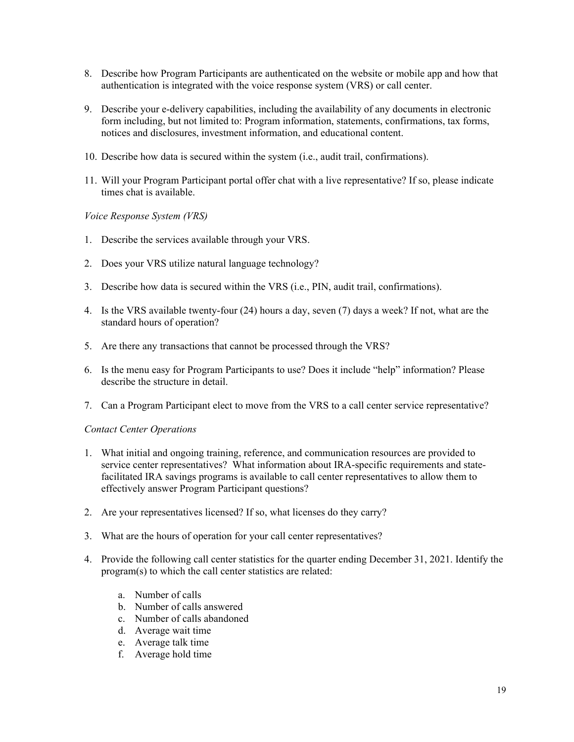- 8. Describe how Program Participants are authenticated on the website or mobile app and how that authentication is integrated with the voice response system (VRS) or call center.
- 9. Describe your e-delivery capabilities, including the availability of any documents in electronic form including, but not limited to: Program information, statements, confirmations, tax forms, notices and disclosures, investment information, and educational content.
- 10. Describe how data is secured within the system (i.e., audit trail, confirmations).
- 11. Will your Program Participant portal offer chat with a live representative? If so, please indicate times chat is available.

*Voice Response System (VRS)* 

- 1. Describe the services available through your VRS.
- 2. Does your VRS utilize natural language technology?
- 3. Describe how data is secured within the VRS (i.e., PIN, audit trail, confirmations).
- 4. Is the VRS available twenty-four (24) hours a day, seven (7) days a week? If not, what are the standard hours of operation?
- 5. Are there any transactions that cannot be processed through the VRS?
- 6. Is the menu easy for Program Participants to use? Does it include "help" information? Please describe the structure in detail.
- 7. Can a Program Participant elect to move from the VRS to a call center service representative?

#### *Contact Center Operations*

- 1. What initial and ongoing training, reference, and communication resources are provided to service center representatives? What information about IRA-specific requirements and statefacilitated IRA savings programs is available to call center representatives to allow them to effectively answer Program Participant questions?
- 2. Are your representatives licensed? If so, what licenses do they carry?
- 3. What are the hours of operation for your call center representatives?
- 4. Provide the following call center statistics for the quarter ending December 31, 2021. Identify the program(s) to which the call center statistics are related:
	- a. Number of calls
	- b. Number of calls answered
	- c. Number of calls abandoned
	- d. Average wait time
	- e. Average talk time
	- f. Average hold time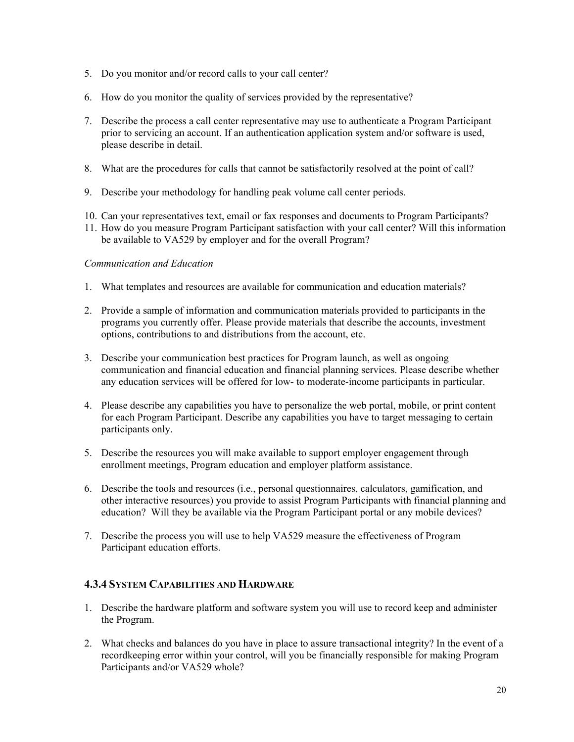- 5. Do you monitor and/or record calls to your call center?
- 6. How do you monitor the quality of services provided by the representative?
- 7. Describe the process a call center representative may use to authenticate a Program Participant prior to servicing an account. If an authentication application system and/or software is used, please describe in detail.
- 8. What are the procedures for calls that cannot be satisfactorily resolved at the point of call?
- 9. Describe your methodology for handling peak volume call center periods.
- 10. Can your representatives text, email or fax responses and documents to Program Participants?
- 11. How do you measure Program Participant satisfaction with your call center? Will this information be available to VA529 by employer and for the overall Program?

### *Communication and Education*

- 1. What templates and resources are available for communication and education materials?
- 2. Provide a sample of information and communication materials provided to participants in the programs you currently offer. Please provide materials that describe the accounts, investment options, contributions to and distributions from the account, etc.
- 3. Describe your communication best practices for Program launch, as well as ongoing communication and financial education and financial planning services. Please describe whether any education services will be offered for low- to moderate-income participants in particular.
- 4. Please describe any capabilities you have to personalize the web portal, mobile, or print content for each Program Participant. Describe any capabilities you have to target messaging to certain participants only.
- 5. Describe the resources you will make available to support employer engagement through enrollment meetings, Program education and employer platform assistance.
- 6. Describe the tools and resources (i.e., personal questionnaires, calculators, gamification, and other interactive resources) you provide to assist Program Participants with financial planning and education? Will they be available via the Program Participant portal or any mobile devices?
- 7. Describe the process you will use to help VA529 measure the effectiveness of Program Participant education efforts.

### **4.3.4 SYSTEM CAPABILITIES AND HARDWARE**

- 1. Describe the hardware platform and software system you will use to record keep and administer the Program.
- 2. What checks and balances do you have in place to assure transactional integrity? In the event of a recordkeeping error within your control, will you be financially responsible for making Program Participants and/or VA529 whole?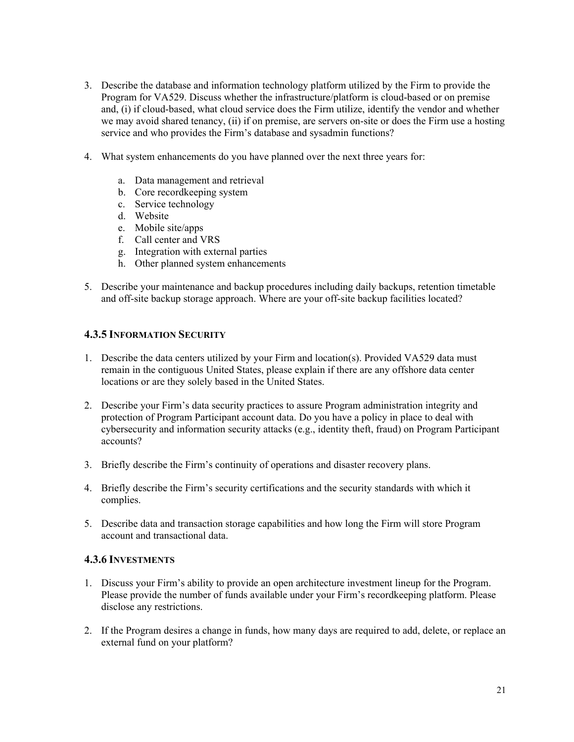- 3. Describe the database and information technology platform utilized by the Firm to provide the Program for VA529. Discuss whether the infrastructure/platform is cloud-based or on premise and, (i) if cloud-based, what cloud service does the Firm utilize, identify the vendor and whether we may avoid shared tenancy, (ii) if on premise, are servers on-site or does the Firm use a hosting service and who provides the Firm's database and sysadmin functions?
- 4. What system enhancements do you have planned over the next three years for:
	- a. Data management and retrieval
	- b. Core recordkeeping system
	- c. Service technology
	- d. Website
	- e. Mobile site/apps
	- f. Call center and VRS
	- g. Integration with external parties
	- h. Other planned system enhancements
- 5. Describe your maintenance and backup procedures including daily backups, retention timetable and off-site backup storage approach. Where are your off-site backup facilities located?

#### **4.3.5 INFORMATION SECURITY**

- 1. Describe the data centers utilized by your Firm and location(s). Provided VA529 data must remain in the contiguous United States, please explain if there are any offshore data center locations or are they solely based in the United States.
- 2. Describe your Firm's data security practices to assure Program administration integrity and protection of Program Participant account data. Do you have a policy in place to deal with cybersecurity and information security attacks (e.g., identity theft, fraud) on Program Participant accounts?
- 3. Briefly describe the Firm's continuity of operations and disaster recovery plans.
- 4. Briefly describe the Firm's security certifications and the security standards with which it complies.
- 5. Describe data and transaction storage capabilities and how long the Firm will store Program account and transactional data.

#### **4.3.6 INVESTMENTS**

- 1. Discuss your Firm's ability to provide an open architecture investment lineup for the Program. Please provide the number of funds available under your Firm's recordkeeping platform. Please disclose any restrictions.
- 2. If the Program desires a change in funds, how many days are required to add, delete, or replace an external fund on your platform?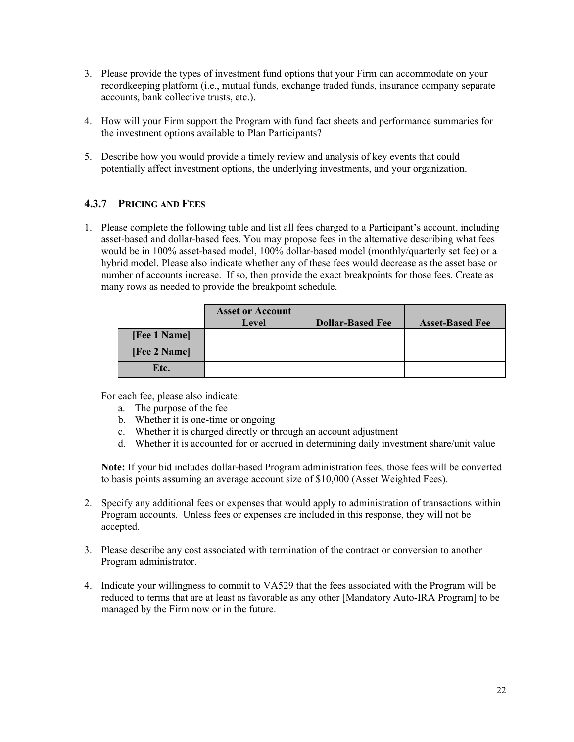- 3. Please provide the types of investment fund options that your Firm can accommodate on your recordkeeping platform (i.e., mutual funds, exchange traded funds, insurance company separate accounts, bank collective trusts, etc.).
- 4. How will your Firm support the Program with fund fact sheets and performance summaries for the investment options available to Plan Participants?
- 5. Describe how you would provide a timely review and analysis of key events that could potentially affect investment options, the underlying investments, and your organization.

### **4.3.7 PRICING AND FEES**

1. Please complete the following table and list all fees charged to a Participant's account, including asset-based and dollar-based fees. You may propose fees in the alternative describing what fees would be in 100% asset-based model, 100% dollar-based model (monthly/quarterly set fee) or a hybrid model. Please also indicate whether any of these fees would decrease as the asset base or number of accounts increase. If so, then provide the exact breakpoints for those fees. Create as many rows as needed to provide the breakpoint schedule.

|              | <b>Asset or Account</b><br>Level | <b>Dollar-Based Fee</b> | <b>Asset-Based Fee</b> |
|--------------|----------------------------------|-------------------------|------------------------|
| [Fee 1 Name] |                                  |                         |                        |
| [Fee 2 Name] |                                  |                         |                        |
| Etc.         |                                  |                         |                        |

For each fee, please also indicate:

- a. The purpose of the fee
- b. Whether it is one-time or ongoing
- c. Whether it is charged directly or through an account adjustment
- d. Whether it is accounted for or accrued in determining daily investment share/unit value

**Note:** If your bid includes dollar-based Program administration fees, those fees will be converted to basis points assuming an average account size of \$10,000 (Asset Weighted Fees).

- 2. Specify any additional fees or expenses that would apply to administration of transactions within Program accounts. Unless fees or expenses are included in this response, they will not be accepted.
- 3. Please describe any cost associated with termination of the contract or conversion to another Program administrator.
- 4. Indicate your willingness to commit to VA529 that the fees associated with the Program will be reduced to terms that are at least as favorable as any other [Mandatory Auto-IRA Program] to be managed by the Firm now or in the future.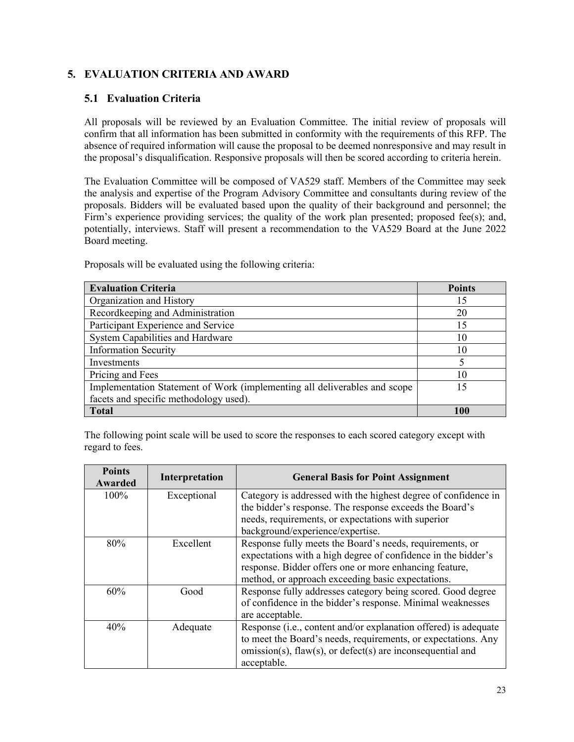# **5. EVALUATION CRITERIA AND AWARD**

### **5.1 Evaluation Criteria**

All proposals will be reviewed by an Evaluation Committee. The initial review of proposals will confirm that all information has been submitted in conformity with the requirements of this RFP. The absence of required information will cause the proposal to be deemed nonresponsive and may result in the proposal's disqualification. Responsive proposals will then be scored according to criteria herein.

The Evaluation Committee will be composed of VA529 staff. Members of the Committee may seek the analysis and expertise of the Program Advisory Committee and consultants during review of the proposals. Bidders will be evaluated based upon the quality of their background and personnel; the Firm's experience providing services; the quality of the work plan presented; proposed fee(s); and, potentially, interviews. Staff will present a recommendation to the VA529 Board at the June 2022 Board meeting.

| <b>Evaluation Criteria</b>                                                | <b>Points</b> |
|---------------------------------------------------------------------------|---------------|
| Organization and History                                                  | 15            |
| Recordkeeping and Administration                                          | 20            |
| Participant Experience and Service                                        | 15            |
| System Capabilities and Hardware                                          | 10            |
| <b>Information Security</b>                                               | 10            |
| Investments                                                               |               |
| Pricing and Fees                                                          | 10            |
| Implementation Statement of Work (implementing all deliverables and scope | -5            |
| facets and specific methodology used).                                    |               |
| <b>Total</b>                                                              | 100           |

Proposals will be evaluated using the following criteria:

The following point scale will be used to score the responses to each scored category except with regard to fees.

| <b>Points</b><br>Awarded | Interpretation | <b>General Basis for Point Assignment</b>                                                                     |
|--------------------------|----------------|---------------------------------------------------------------------------------------------------------------|
| 100%                     | Exceptional    | Category is addressed with the highest degree of confidence in                                                |
|                          |                | the bidder's response. The response exceeds the Board's<br>needs, requirements, or expectations with superior |
|                          |                |                                                                                                               |
|                          |                | background/experience/expertise.                                                                              |
| 80%                      | Excellent      | Response fully meets the Board's needs, requirements, or                                                      |
|                          |                | expectations with a high degree of confidence in the bidder's                                                 |
|                          |                | response. Bidder offers one or more enhancing feature,                                                        |
|                          |                | method, or approach exceeding basic expectations.                                                             |
| 60%                      | Good           | Response fully addresses category being scored. Good degree                                                   |
|                          |                | of confidence in the bidder's response. Minimal weaknesses                                                    |
|                          |                | are acceptable.                                                                                               |
| 40%                      | Adequate       | Response (i.e., content and/or explanation offered) is adequate                                               |
|                          |                | to meet the Board's needs, requirements, or expectations. Any                                                 |
|                          |                | omission(s), flaw(s), or defect(s) are inconsequential and                                                    |
|                          |                | acceptable.                                                                                                   |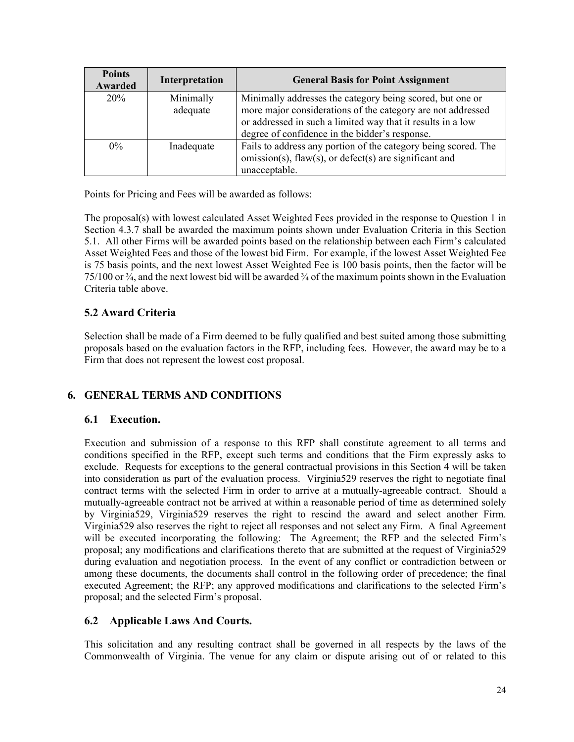| <b>Points</b><br>Awarded | Interpretation        | <b>General Basis for Point Assignment</b>                                                                                                                                                                                                 |
|--------------------------|-----------------------|-------------------------------------------------------------------------------------------------------------------------------------------------------------------------------------------------------------------------------------------|
| 20%                      | Minimally<br>adequate | Minimally addresses the category being scored, but one or<br>more major considerations of the category are not addressed<br>or addressed in such a limited way that it results in a low<br>degree of confidence in the bidder's response. |
| $0\%$                    | Inadequate            | Fails to address any portion of the category being scored. The<br>omission(s), flaw(s), or defect(s) are significant and<br>unacceptable.                                                                                                 |

Points for Pricing and Fees will be awarded as follows:

The proposal(s) with lowest calculated Asset Weighted Fees provided in the response to Question 1 in Section 4.3.7 shall be awarded the maximum points shown under Evaluation Criteria in this Section 5.1. All other Firms will be awarded points based on the relationship between each Firm's calculated Asset Weighted Fees and those of the lowest bid Firm. For example, if the lowest Asset Weighted Fee is 75 basis points, and the next lowest Asset Weighted Fee is 100 basis points, then the factor will be 75/100 or  $\frac{3}{4}$ , and the next lowest bid will be awarded  $\frac{3}{4}$  of the maximum points shown in the Evaluation Criteria table above.

# **5.2 Award Criteria**

Selection shall be made of a Firm deemed to be fully qualified and best suited among those submitting proposals based on the evaluation factors in the RFP, including fees. However, the award may be to a Firm that does not represent the lowest cost proposal.

# **6. GENERAL TERMS AND CONDITIONS**

### **6.1 Execution.**

Execution and submission of a response to this RFP shall constitute agreement to all terms and conditions specified in the RFP, except such terms and conditions that the Firm expressly asks to exclude. Requests for exceptions to the general contractual provisions in this Section 4 will be taken into consideration as part of the evaluation process. Virginia529 reserves the right to negotiate final contract terms with the selected Firm in order to arrive at a mutually-agreeable contract. Should a mutually-agreeable contract not be arrived at within a reasonable period of time as determined solely by Virginia529, Virginia529 reserves the right to rescind the award and select another Firm. Virginia529 also reserves the right to reject all responses and not select any Firm. A final Agreement will be executed incorporating the following: The Agreement; the RFP and the selected Firm's proposal; any modifications and clarifications thereto that are submitted at the request of Virginia529 during evaluation and negotiation process. In the event of any conflict or contradiction between or among these documents, the documents shall control in the following order of precedence; the final executed Agreement; the RFP; any approved modifications and clarifications to the selected Firm's proposal; and the selected Firm's proposal.

### **6.2 Applicable Laws And Courts.**

This solicitation and any resulting contract shall be governed in all respects by the laws of the Commonwealth of Virginia. The venue for any claim or dispute arising out of or related to this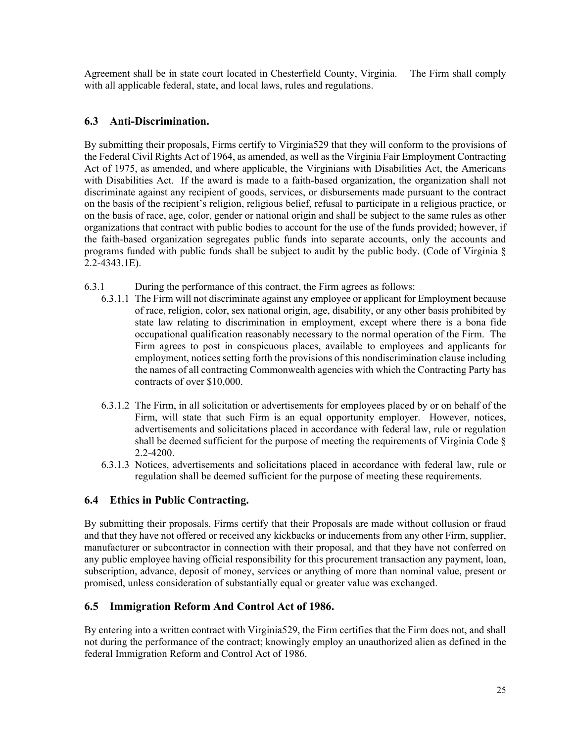Agreement shall be in state court located in Chesterfield County, Virginia. The Firm shall comply with all applicable federal, state, and local laws, rules and regulations.

# **6.3 Anti-Discrimination.**

By submitting their proposals, Firms certify to Virginia529 that they will conform to the provisions of the Federal Civil Rights Act of 1964, as amended, as well as the Virginia Fair Employment Contracting Act of 1975, as amended, and where applicable, the Virginians with Disabilities Act, the Americans with Disabilities Act. If the award is made to a faith-based organization, the organization shall not discriminate against any recipient of goods, services, or disbursements made pursuant to the contract on the basis of the recipient's religion, religious belief, refusal to participate in a religious practice, or on the basis of race, age, color, gender or national origin and shall be subject to the same rules as other organizations that contract with public bodies to account for the use of the funds provided; however, if the faith-based organization segregates public funds into separate accounts, only the accounts and programs funded with public funds shall be subject to audit by the public body. (Code of Virginia § 2.2-4343.1E).

- 6.3.1 During the performance of this contract, the Firm agrees as follows:
	- 6.3.1.1 The Firm will not discriminate against any employee or applicant for Employment because of race, religion, color, sex national origin, age, disability, or any other basis prohibited by state law relating to discrimination in employment, except where there is a bona fide occupational qualification reasonably necessary to the normal operation of the Firm. The Firm agrees to post in conspicuous places, available to employees and applicants for employment, notices setting forth the provisions of this nondiscrimination clause including the names of all contracting Commonwealth agencies with which the Contracting Party has contracts of over \$10,000.
	- 6.3.1.2 The Firm, in all solicitation or advertisements for employees placed by or on behalf of the Firm, will state that such Firm is an equal opportunity employer. However, notices, advertisements and solicitations placed in accordance with federal law, rule or regulation shall be deemed sufficient for the purpose of meeting the requirements of Virginia Code § 2.2-4200.
	- 6.3.1.3 Notices, advertisements and solicitations placed in accordance with federal law, rule or regulation shall be deemed sufficient for the purpose of meeting these requirements.

# **6.4 Ethics in Public Contracting.**

By submitting their proposals, Firms certify that their Proposals are made without collusion or fraud and that they have not offered or received any kickbacks or inducements from any other Firm, supplier, manufacturer or subcontractor in connection with their proposal, and that they have not conferred on any public employee having official responsibility for this procurement transaction any payment, loan, subscription, advance, deposit of money, services or anything of more than nominal value, present or promised, unless consideration of substantially equal or greater value was exchanged.

# **6.5 Immigration Reform And Control Act of 1986.**

By entering into a written contract with Virginia529, the Firm certifies that the Firm does not, and shall not during the performance of the contract; knowingly employ an unauthorized alien as defined in the federal Immigration Reform and Control Act of 1986.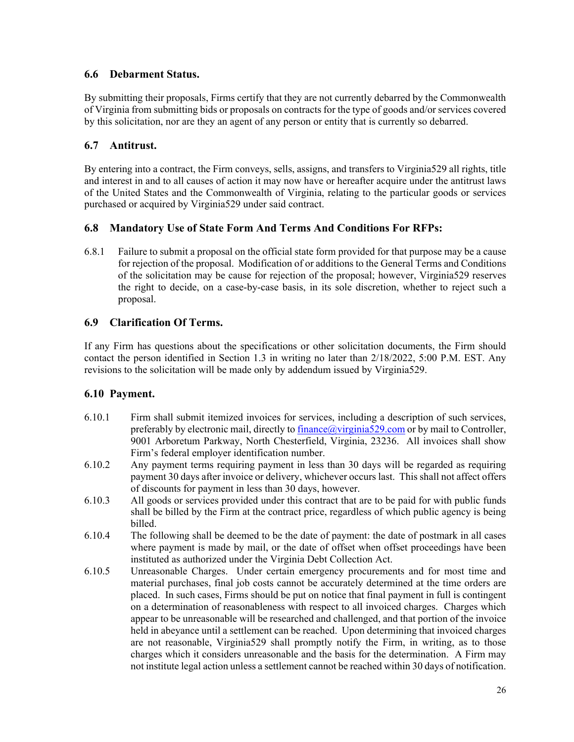### **6.6 Debarment Status.**

By submitting their proposals, Firms certify that they are not currently debarred by the Commonwealth of Virginia from submitting bids or proposals on contracts for the type of goods and/or services covered by this solicitation, nor are they an agent of any person or entity that is currently so debarred.

### **6.7 Antitrust.**

By entering into a contract, the Firm conveys, sells, assigns, and transfers to Virginia529 all rights, title and interest in and to all causes of action it may now have or hereafter acquire under the antitrust laws of the United States and the Commonwealth of Virginia, relating to the particular goods or services purchased or acquired by Virginia529 under said contract.

### **6.8 Mandatory Use of State Form And Terms And Conditions For RFPs:**

6.8.1 Failure to submit a proposal on the official state form provided for that purpose may be a cause for rejection of the proposal. Modification of or additions to the General Terms and Conditions of the solicitation may be cause for rejection of the proposal; however, Virginia529 reserves the right to decide, on a case-by-case basis, in its sole discretion, whether to reject such a proposal.

# **6.9 Clarification Of Terms.**

If any Firm has questions about the specifications or other solicitation documents, the Firm should contact the person identified in Section 1.3 in writing no later than 2/18/2022, 5:00 P.M. EST. Any revisions to the solicitation will be made only by addendum issued by Virginia529.

### **6.10 Payment.**

- 6.10.1 Firm shall submit itemized invoices for services, including a description of such services, preferably by electronic mail, directly to finance@virginia529.com or by mail to Controller, 9001 Arboretum Parkway, North Chesterfield, Virginia, 23236. All invoices shall show Firm's federal employer identification number.
- 6.10.2 Any payment terms requiring payment in less than 30 days will be regarded as requiring payment 30 days after invoice or delivery, whichever occurs last. This shall not affect offers of discounts for payment in less than 30 days, however.
- 6.10.3 All goods or services provided under this contract that are to be paid for with public funds shall be billed by the Firm at the contract price, regardless of which public agency is being billed.
- 6.10.4 The following shall be deemed to be the date of payment: the date of postmark in all cases where payment is made by mail, or the date of offset when offset proceedings have been instituted as authorized under the Virginia Debt Collection Act.
- 6.10.5 Unreasonable Charges. Under certain emergency procurements and for most time and material purchases, final job costs cannot be accurately determined at the time orders are placed. In such cases, Firms should be put on notice that final payment in full is contingent on a determination of reasonableness with respect to all invoiced charges. Charges which appear to be unreasonable will be researched and challenged, and that portion of the invoice held in abeyance until a settlement can be reached. Upon determining that invoiced charges are not reasonable, Virginia529 shall promptly notify the Firm, in writing, as to those charges which it considers unreasonable and the basis for the determination. A Firm may not institute legal action unless a settlement cannot be reached within 30 days of notification.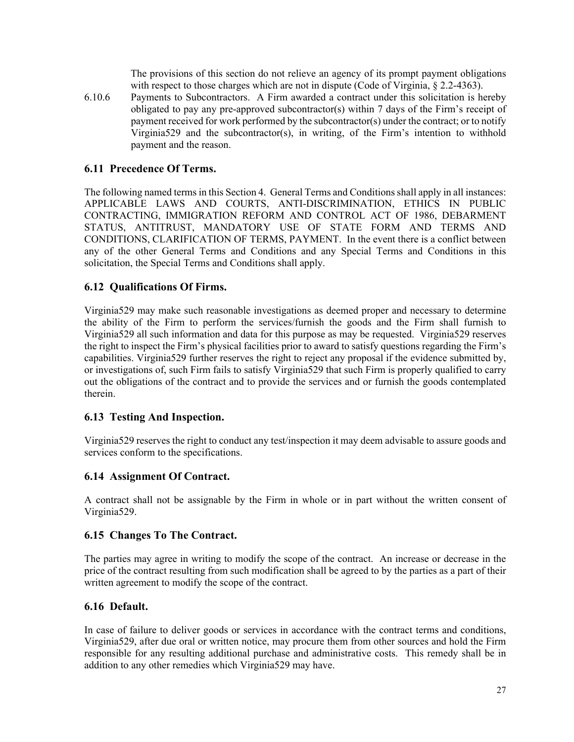The provisions of this section do not relieve an agency of its prompt payment obligations with respect to those charges which are not in dispute (Code of Virginia, § 2.2-4363).

6.10.6 Payments to Subcontractors. A Firm awarded a contract under this solicitation is hereby obligated to pay any pre-approved subcontractor(s) within  $7$  days of the Firm's receipt of payment received for work performed by the subcontractor(s) under the contract; or to notify Virginia529 and the subcontractor(s), in writing, of the Firm's intention to withhold payment and the reason.

### **6.11 Precedence Of Terms.**

The following named terms in this Section 4. General Terms and Conditions shall apply in all instances: APPLICABLE LAWS AND COURTS, ANTI-DISCRIMINATION, ETHICS IN PUBLIC CONTRACTING, IMMIGRATION REFORM AND CONTROL ACT OF 1986, DEBARMENT STATUS, ANTITRUST, MANDATORY USE OF STATE FORM AND TERMS AND CONDITIONS, CLARIFICATION OF TERMS, PAYMENT. In the event there is a conflict between any of the other General Terms and Conditions and any Special Terms and Conditions in this solicitation, the Special Terms and Conditions shall apply.

### **6.12 Qualifications Of Firms.**

Virginia529 may make such reasonable investigations as deemed proper and necessary to determine the ability of the Firm to perform the services/furnish the goods and the Firm shall furnish to Virginia529 all such information and data for this purpose as may be requested. Virginia529 reserves the right to inspect the Firm's physical facilities prior to award to satisfy questions regarding the Firm's capabilities. Virginia529 further reserves the right to reject any proposal if the evidence submitted by, or investigations of, such Firm fails to satisfy Virginia529 that such Firm is properly qualified to carry out the obligations of the contract and to provide the services and or furnish the goods contemplated therein.

#### **6.13 Testing And Inspection.**

Virginia529 reserves the right to conduct any test/inspection it may deem advisable to assure goods and services conform to the specifications.

#### **6.14 Assignment Of Contract.**

A contract shall not be assignable by the Firm in whole or in part without the written consent of Virginia529.

#### **6.15 Changes To The Contract.**

The parties may agree in writing to modify the scope of the contract. An increase or decrease in the price of the contract resulting from such modification shall be agreed to by the parties as a part of their written agreement to modify the scope of the contract.

#### **6.16 Default.**

In case of failure to deliver goods or services in accordance with the contract terms and conditions, Virginia529, after due oral or written notice, may procure them from other sources and hold the Firm responsible for any resulting additional purchase and administrative costs. This remedy shall be in addition to any other remedies which Virginia529 may have.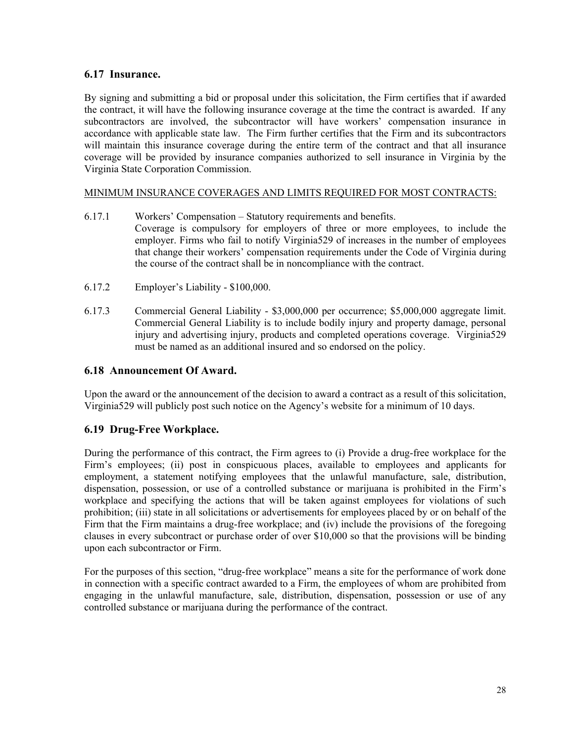### **6.17 Insurance.**

By signing and submitting a bid or proposal under this solicitation, the Firm certifies that if awarded the contract, it will have the following insurance coverage at the time the contract is awarded. If any subcontractors are involved, the subcontractor will have workers' compensation insurance in accordance with applicable state law. The Firm further certifies that the Firm and its subcontractors will maintain this insurance coverage during the entire term of the contract and that all insurance coverage will be provided by insurance companies authorized to sell insurance in Virginia by the Virginia State Corporation Commission.

### MINIMUM INSURANCE COVERAGES AND LIMITS REQUIRED FOR MOST CONTRACTS:

- 6.17.1 Workers' Compensation Statutory requirements and benefits. Coverage is compulsory for employers of three or more employees, to include the employer. Firms who fail to notify Virginia529 of increases in the number of employees that change their workers' compensation requirements under the Code of Virginia during the course of the contract shall be in noncompliance with the contract.
- 6.17.2 Employer's Liability \$100,000.
- 6.17.3 Commercial General Liability \$3,000,000 per occurrence; \$5,000,000 aggregate limit. Commercial General Liability is to include bodily injury and property damage, personal injury and advertising injury, products and completed operations coverage. Virginia529 must be named as an additional insured and so endorsed on the policy.

### **6.18 Announcement Of Award.**

Upon the award or the announcement of the decision to award a contract as a result of this solicitation, Virginia529 will publicly post such notice on the Agency's website for a minimum of 10 days.

### **6.19 Drug-Free Workplace.**

During the performance of this contract, the Firm agrees to (i) Provide a drug-free workplace for the Firm's employees; (ii) post in conspicuous places, available to employees and applicants for employment, a statement notifying employees that the unlawful manufacture, sale, distribution, dispensation, possession, or use of a controlled substance or marijuana is prohibited in the Firm's workplace and specifying the actions that will be taken against employees for violations of such prohibition; (iii) state in all solicitations or advertisements for employees placed by or on behalf of the Firm that the Firm maintains a drug-free workplace; and (iv) include the provisions of the foregoing clauses in every subcontract or purchase order of over \$10,000 so that the provisions will be binding upon each subcontractor or Firm.

For the purposes of this section, "drug-free workplace" means a site for the performance of work done in connection with a specific contract awarded to a Firm, the employees of whom are prohibited from engaging in the unlawful manufacture, sale, distribution, dispensation, possession or use of any controlled substance or marijuana during the performance of the contract.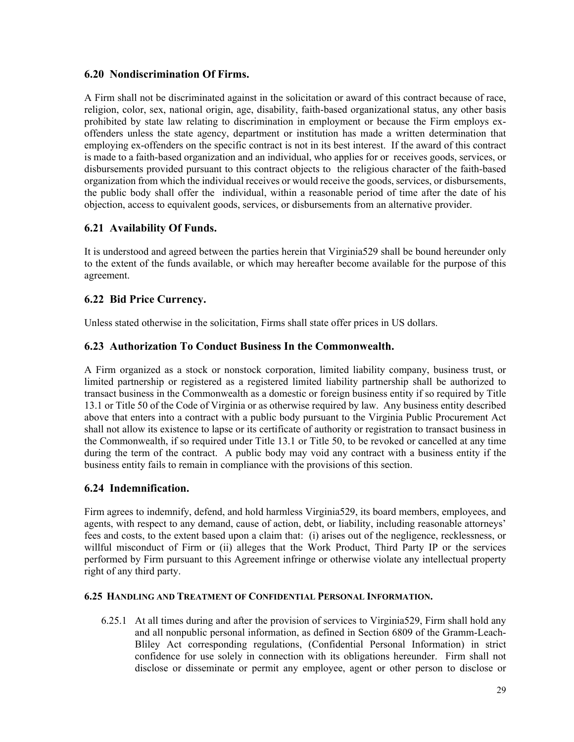### **6.20 Nondiscrimination Of Firms.**

A Firm shall not be discriminated against in the solicitation or award of this contract because of race, religion, color, sex, national origin, age, disability, faith-based organizational status, any other basis prohibited by state law relating to discrimination in employment or because the Firm employs exoffenders unless the state agency, department or institution has made a written determination that employing ex-offenders on the specific contract is not in its best interest. If the award of this contract is made to a faith-based organization and an individual, who applies for or receives goods, services, or disbursements provided pursuant to this contract objects to the religious character of the faith-based organization from which the individual receives or would receive the goods, services, or disbursements, the public body shall offer the individual, within a reasonable period of time after the date of his objection, access to equivalent goods, services, or disbursements from an alternative provider.

### **6.21 Availability Of Funds.**

It is understood and agreed between the parties herein that Virginia529 shall be bound hereunder only to the extent of the funds available, or which may hereafter become available for the purpose of this agreement.

### **6.22 Bid Price Currency.**

Unless stated otherwise in the solicitation, Firms shall state offer prices in US dollars.

### **6.23 Authorization To Conduct Business In the Commonwealth.**

A Firm organized as a stock or nonstock corporation, limited liability company, business trust, or limited partnership or registered as a registered limited liability partnership shall be authorized to transact business in the Commonwealth as a domestic or foreign business entity if so required by Title 13.1 or Title 50 of the Code of Virginia or as otherwise required by law. Any business entity described above that enters into a contract with a public body pursuant to the Virginia Public Procurement Act shall not allow its existence to lapse or its certificate of authority or registration to transact business in the Commonwealth, if so required under Title 13.1 or Title 50, to be revoked or cancelled at any time during the term of the contract. A public body may void any contract with a business entity if the business entity fails to remain in compliance with the provisions of this section.

### **6.24 Indemnification.**

Firm agrees to indemnify, defend, and hold harmless Virginia529, its board members, employees, and agents, with respect to any demand, cause of action, debt, or liability, including reasonable attorneys' fees and costs, to the extent based upon a claim that: (i) arises out of the negligence, recklessness, or willful misconduct of Firm or (ii) alleges that the Work Product, Third Party IP or the services performed by Firm pursuant to this Agreement infringe or otherwise violate any intellectual property right of any third party.

#### **6.25 HANDLING AND TREATMENT OF CONFIDENTIAL PERSONAL INFORMATION.**

6.25.1 At all times during and after the provision of services to Virginia529, Firm shall hold any and all nonpublic personal information, as defined in Section 6809 of the Gramm-Leach-Bliley Act corresponding regulations, (Confidential Personal Information) in strict confidence for use solely in connection with its obligations hereunder. Firm shall not disclose or disseminate or permit any employee, agent or other person to disclose or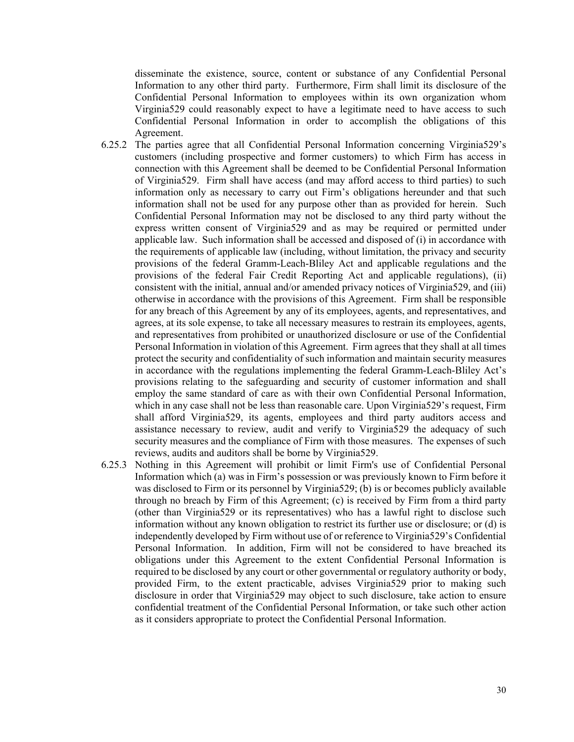disseminate the existence, source, content or substance of any Confidential Personal Information to any other third party. Furthermore, Firm shall limit its disclosure of the Confidential Personal Information to employees within its own organization whom Virginia529 could reasonably expect to have a legitimate need to have access to such Confidential Personal Information in order to accomplish the obligations of this Agreement.

- 6.25.2 The parties agree that all Confidential Personal Information concerning Virginia529's customers (including prospective and former customers) to which Firm has access in connection with this Agreement shall be deemed to be Confidential Personal Information of Virginia529. Firm shall have access (and may afford access to third parties) to such information only as necessary to carry out Firm's obligations hereunder and that such information shall not be used for any purpose other than as provided for herein. Such Confidential Personal Information may not be disclosed to any third party without the express written consent of Virginia529 and as may be required or permitted under applicable law. Such information shall be accessed and disposed of (i) in accordance with the requirements of applicable law (including, without limitation, the privacy and security provisions of the federal Gramm-Leach-Bliley Act and applicable regulations and the provisions of the federal Fair Credit Reporting Act and applicable regulations), (ii) consistent with the initial, annual and/or amended privacy notices of Virginia529, and (iii) otherwise in accordance with the provisions of this Agreement. Firm shall be responsible for any breach of this Agreement by any of its employees, agents, and representatives, and agrees, at its sole expense, to take all necessary measures to restrain its employees, agents, and representatives from prohibited or unauthorized disclosure or use of the Confidential Personal Information in violation of this Agreement. Firm agrees that they shall at all times protect the security and confidentiality of such information and maintain security measures in accordance with the regulations implementing the federal Gramm-Leach-Bliley Act's provisions relating to the safeguarding and security of customer information and shall employ the same standard of care as with their own Confidential Personal Information, which in any case shall not be less than reasonable care. Upon Virginia529's request, Firm shall afford Virginia529, its agents, employees and third party auditors access and assistance necessary to review, audit and verify to Virginia529 the adequacy of such security measures and the compliance of Firm with those measures. The expenses of such reviews, audits and auditors shall be borne by Virginia529.
- 6.25.3 Nothing in this Agreement will prohibit or limit Firm's use of Confidential Personal Information which (a) was in Firm's possession or was previously known to Firm before it was disclosed to Firm or its personnel by Virginia529; (b) is or becomes publicly available through no breach by Firm of this Agreement; (c) is received by Firm from a third party (other than Virginia529 or its representatives) who has a lawful right to disclose such information without any known obligation to restrict its further use or disclosure; or (d) is independently developed by Firm without use of or reference to Virginia529's Confidential Personal Information. In addition, Firm will not be considered to have breached its obligations under this Agreement to the extent Confidential Personal Information is required to be disclosed by any court or other governmental or regulatory authority or body, provided Firm, to the extent practicable, advises Virginia529 prior to making such disclosure in order that Virginia529 may object to such disclosure, take action to ensure confidential treatment of the Confidential Personal Information, or take such other action as it considers appropriate to protect the Confidential Personal Information.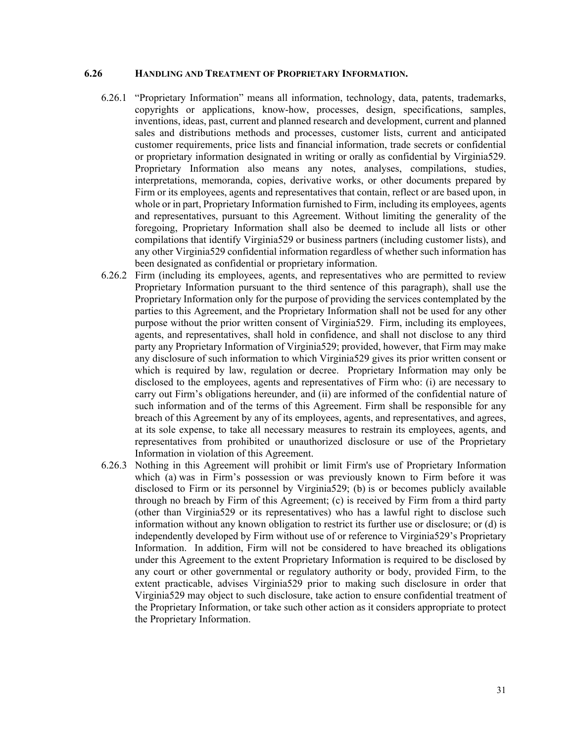#### **6.26 HANDLING AND TREATMENT OF PROPRIETARY INFORMATION.**

- 6.26.1 "Proprietary Information" means all information, technology, data, patents, trademarks, copyrights or applications, know-how, processes, design, specifications, samples, inventions, ideas, past, current and planned research and development, current and planned sales and distributions methods and processes, customer lists, current and anticipated customer requirements, price lists and financial information, trade secrets or confidential or proprietary information designated in writing or orally as confidential by Virginia529. Proprietary Information also means any notes, analyses, compilations, studies, interpretations, memoranda, copies, derivative works, or other documents prepared by Firm or its employees, agents and representatives that contain, reflect or are based upon, in whole or in part, Proprietary Information furnished to Firm, including its employees, agents and representatives, pursuant to this Agreement. Without limiting the generality of the foregoing, Proprietary Information shall also be deemed to include all lists or other compilations that identify Virginia529 or business partners (including customer lists), and any other Virginia529 confidential information regardless of whether such information has been designated as confidential or proprietary information.
- 6.26.2 Firm (including its employees, agents, and representatives who are permitted to review Proprietary Information pursuant to the third sentence of this paragraph), shall use the Proprietary Information only for the purpose of providing the services contemplated by the parties to this Agreement, and the Proprietary Information shall not be used for any other purpose without the prior written consent of Virginia529. Firm, including its employees, agents, and representatives, shall hold in confidence, and shall not disclose to any third party any Proprietary Information of Virginia529; provided, however, that Firm may make any disclosure of such information to which Virginia529 gives its prior written consent or which is required by law, regulation or decree. Proprietary Information may only be disclosed to the employees, agents and representatives of Firm who: (i) are necessary to carry out Firm's obligations hereunder, and (ii) are informed of the confidential nature of such information and of the terms of this Agreement. Firm shall be responsible for any breach of this Agreement by any of its employees, agents, and representatives, and agrees, at its sole expense, to take all necessary measures to restrain its employees, agents, and representatives from prohibited or unauthorized disclosure or use of the Proprietary Information in violation of this Agreement.
- 6.26.3 Nothing in this Agreement will prohibit or limit Firm's use of Proprietary Information which (a) was in Firm's possession or was previously known to Firm before it was disclosed to Firm or its personnel by Virginia529; (b) is or becomes publicly available through no breach by Firm of this Agreement; (c) is received by Firm from a third party (other than Virginia529 or its representatives) who has a lawful right to disclose such information without any known obligation to restrict its further use or disclosure; or (d) is independently developed by Firm without use of or reference to Virginia529's Proprietary Information. In addition, Firm will not be considered to have breached its obligations under this Agreement to the extent Proprietary Information is required to be disclosed by any court or other governmental or regulatory authority or body, provided Firm, to the extent practicable, advises Virginia529 prior to making such disclosure in order that Virginia529 may object to such disclosure, take action to ensure confidential treatment of the Proprietary Information, or take such other action as it considers appropriate to protect the Proprietary Information.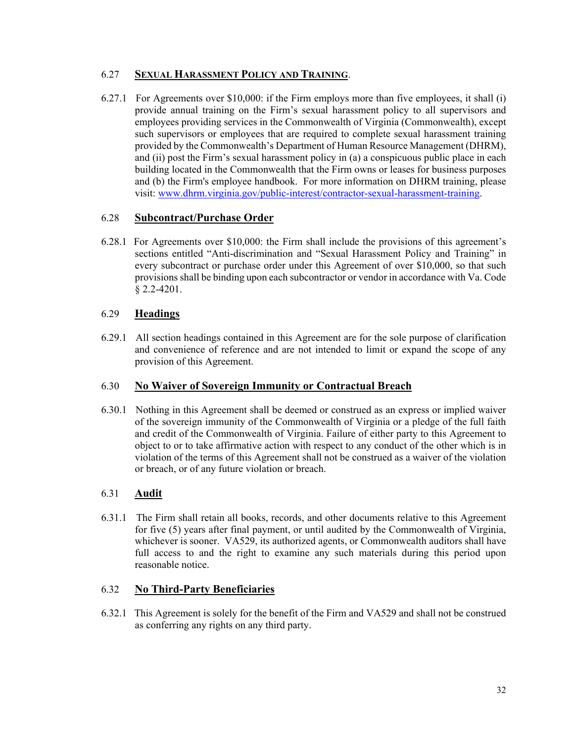### 6.27 **SEXUAL HARASSMENT POLICY AND TRAINING**.

6.27.1 For Agreements over \$10,000: if the Firm employs more than five employees, it shall (i) provide annual training on the Firm's sexual harassment policy to all supervisors and employees providing services in the Commonwealth of Virginia (Commonwealth), except such supervisors or employees that are required to complete sexual harassment training provided by the Commonwealth's Department of Human Resource Management (DHRM), and (ii) post the Firm's sexual harassment policy in (a) a conspicuous public place in each building located in the Commonwealth that the Firm owns or leases for business purposes and (b) the Firm's employee handbook. For more information on DHRM training, please visit: www.dhrm.virginia.gov/public-interest/contractor-sexual-harassment-training.

### 6.28 **Subcontract/Purchase Order**

6.28.1 For Agreements over \$10,000: the Firm shall include the provisions of this agreement's sections entitled "Anti-discrimination and "Sexual Harassment Policy and Training" in every subcontract or purchase order under this Agreement of over \$10,000, so that such provisions shall be binding upon each subcontractor or vendor in accordance with Va. Code § 2.2-4201.

### 6.29 **Headings**

6.29.1 All section headings contained in this Agreement are for the sole purpose of clarification and convenience of reference and are not intended to limit or expand the scope of any provision of this Agreement.

### 6.30 **No Waiver of Sovereign Immunity or Contractual Breach**

6.30.1 Nothing in this Agreement shall be deemed or construed as an express or implied waiver of the sovereign immunity of the Commonwealth of Virginia or a pledge of the full faith and credit of the Commonwealth of Virginia. Failure of either party to this Agreement to object to or to take affirmative action with respect to any conduct of the other which is in violation of the terms of this Agreement shall not be construed as a waiver of the violation or breach, or of any future violation or breach.

# 6.31 **Audit**

6.31.1 The Firm shall retain all books, records, and other documents relative to this Agreement for five (5) years after final payment, or until audited by the Commonwealth of Virginia, whichever is sooner. VA529, its authorized agents, or Commonwealth auditors shall have full access to and the right to examine any such materials during this period upon reasonable notice.

### 6.32 **No Third-Party Beneficiaries**

6.32.1 This Agreement is solely for the benefit of the Firm and VA529 and shall not be construed as conferring any rights on any third party.